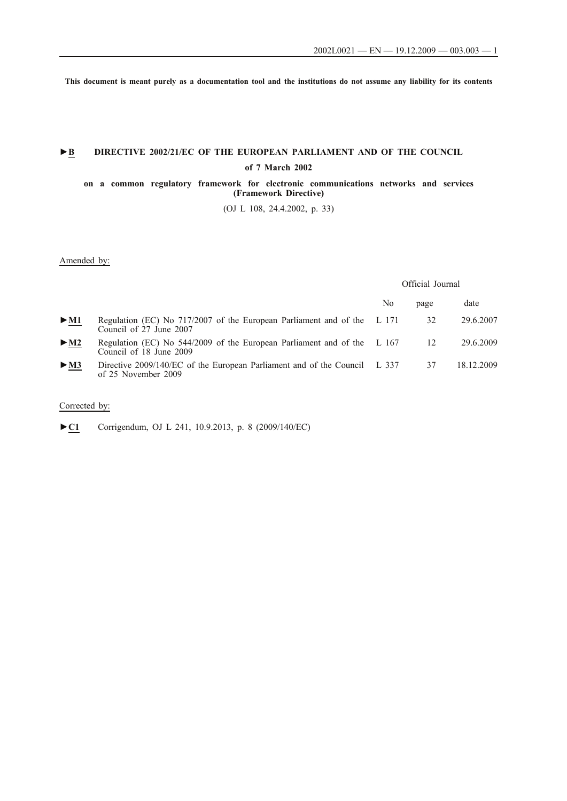**This document is meant purely as a documentation tool and the institutions do not assume any liability for its contents**

# ►**B** DIRECTIVE 2002/21/EC OF THE EUROPEAN PARLIAMENT AND OF THE COUNCIL **of 7 March 2002**

**on a common regulatory framework for electronic communications networks and services (Framework Directive)**

(OJ L 108, 24.4.2002, p. 33)

### Amended by:

Official Journal

|                            |                                                                                                     | No | page | date       |
|----------------------------|-----------------------------------------------------------------------------------------------------|----|------|------------|
| $\triangleright$ <u>M1</u> | Regulation (EC) No 717/2007 of the European Parliament and of the L 171<br>Council of 27 June 2007  |    | 32   | 29.6.2007  |
| $\blacktriangleright$ M2   | Regulation (EC) No 544/2009 of the European Parliament and of the L 167<br>Council of 18 June 2009  |    | 12   | 29.6.2009  |
| $\blacktriangleright$ M3   | Directive $2009/140$ /EC of the European Parliament and of the Council L 337<br>of 25 November 2009 |    | 37   | 18 12 2009 |

### Corrected by:

►**C1** Corrigendum, OJ L 241, 10.9.2013, p. 8 (2009/140/EC)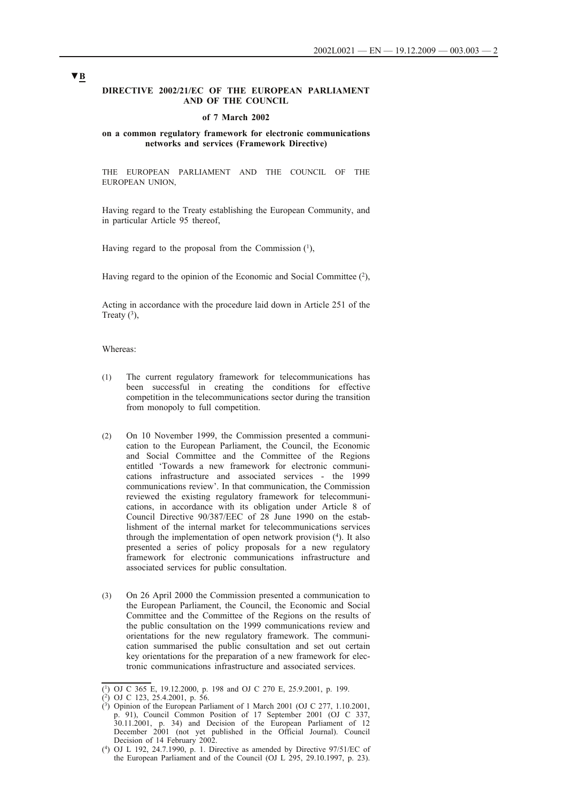### **DIRECTIVE 2002/21/EC OF THE EUROPEAN PARLIAMENT AND OF THE COUNCIL**

#### **of 7 March 2002**

### **on a common regulatory framework for electronic communications networks and services (Framework Directive)**

THE EUROPEAN PARLIAMENT AND THE COUNCIL OF THE EUROPEAN UNION,

Having regard to the Treaty establishing the European Community, and in particular Article 95 thereof,

Having regard to the proposal from the Commission  $(1)$ ,

Having regard to the opinion of the Economic and Social Committee  $(2)$ ,

Acting in accordance with the procedure laid down in Article 251 of the Treaty  $(3)$ ,

### Whereas:

- (1) The current regulatory framework for telecommunications has been successful in creating the conditions for effective competition in the telecommunications sector during the transition from monopoly to full competition.
- (2) On 10 November 1999, the Commission presented a communication to the European Parliament, the Council, the Economic and Social Committee and the Committee of the Regions entitled 'Towards a new framework for electronic communications infrastructure and associated services - the 1999 communications review'. In that communication, the Commission reviewed the existing regulatory framework for telecommunications, in accordance with its obligation under Article 8 of Council Directive 90/387/EEC of 28 June 1990 on the establishment of the internal market for telecommunications services through the implementation of open network provision (4). It also presented a series of policy proposals for a new regulatory framework for electronic communications infrastructure and associated services for public consultation.
- (3) On 26 April 2000 the Commission presented a communication to the European Parliament, the Council, the Economic and Social Committee and the Committee of the Regions on the results of the public consultation on the 1999 communications review and orientations for the new regulatory framework. The communication summarised the public consultation and set out certain key orientations for the preparation of a new framework for electronic communications infrastructure and associated services.

<sup>(1)</sup> OJ C 365 E, 19.12.2000, p. 198 and OJ C 270 E, 25.9.2001, p. 199.

<sup>(2)</sup> OJ C 123, 25.4.2001, p. 56.

<sup>(3)</sup> Opinion of the European Parliament of 1 March 2001 (OJ C 277, 1.10.2001, p. 91), Council Common Position of 17 September 2001 (OJ C 337, 30.11.2001, p. 34) and Decision of the European Parliament of 12 December 2001 (not yet published in the Official Journal). Council Decision of 14 February 2002.

<sup>(4)</sup> OJ L 192, 24.7.1990, p. 1. Directive as amended by Directive 97/51/EC of the European Parliament and of the Council (OJ L 295, 29.10.1997, p. 23).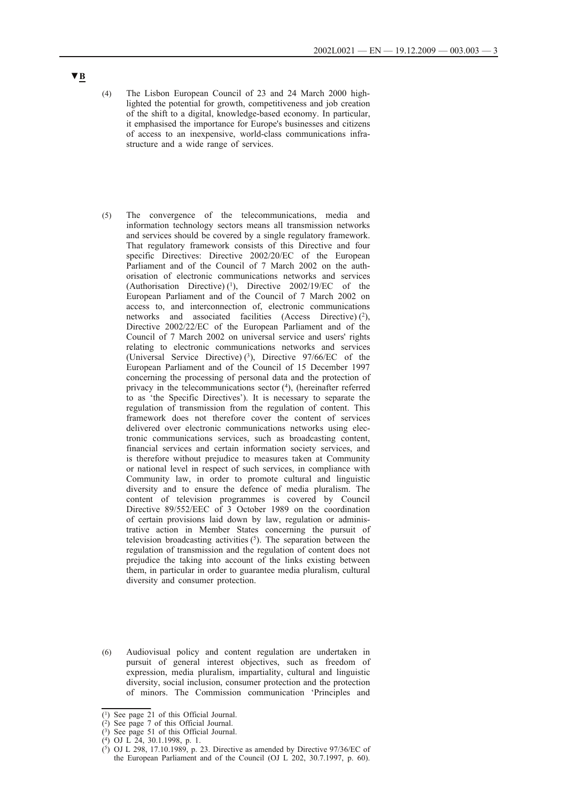- (4) The Lisbon European Council of 23 and 24 March 2000 highlighted the potential for growth, competitiveness and job creation of the shift to a digital, knowledge-based economy. In particular, it emphasised the importance for Europe's businesses and citizens of access to an inexpensive, world-class communications infrastructure and a wide range of services.
- (5) The convergence of the telecommunications, media and information technology sectors means all transmission networks and services should be covered by a single regulatory framework. That regulatory framework consists of this Directive and four specific Directives: Directive 2002/20/EC of the European Parliament and of the Council of 7 March 2002 on the authorisation of electronic communications networks and services (Authorisation Directive) (1), Directive 2002/19/EC of the European Parliament and of the Council of 7 March 2002 on access to, and interconnection of, electronic communications networks and associated facilities (Access Directive) (2), Directive 2002/22/EC of the European Parliament and of the Council of 7 March 2002 on universal service and users' rights relating to electronic communications networks and services (Universal Service Directive) (3), Directive 97/66/EC of the European Parliament and of the Council of 15 December 1997 concerning the processing of personal data and the protection of privacy in the telecommunications sector  $(4)$ , (hereinafter referred to as 'the Specific Directives'). It is necessary to separate the regulation of transmission from the regulation of content. This framework does not therefore cover the content of services delivered over electronic communications networks using electronic communications services, such as broadcasting content, financial services and certain information society services, and is therefore without prejudice to measures taken at Community or national level in respect of such services, in compliance with Community law, in order to promote cultural and linguistic diversity and to ensure the defence of media pluralism. The content of television programmes is covered by Council Directive 89/552/EEC of 3 October 1989 on the coordination of certain provisions laid down by law, regulation or administrative action in Member States concerning the pursuit of television broadcasting activities (5). The separation between the regulation of transmission and the regulation of content does not prejudice the taking into account of the links existing between them, in particular in order to guarantee media pluralism, cultural diversity and consumer protection.
- (6) Audiovisual policy and content regulation are undertaken in pursuit of general interest objectives, such as freedom of expression, media pluralism, impartiality, cultural and linguistic diversity, social inclusion, consumer protection and the protection of minors. The Commission communication 'Principles and

<sup>(1)</sup> See page 21 of this Official Journal.

 $(2)$  See page 7 of this Official Journal.

 $(3)$  See page 51 of this Official Journal.

<sup>(4)</sup> OJ L 24, 30.1.1998, p. 1.

 $(5)$  OJ L 298, 17.10.1989, p. 23. Directive as amended by Directive 97/36/EC of the European Parliament and of the Council (OJ L 202, 30.7.1997, p. 60).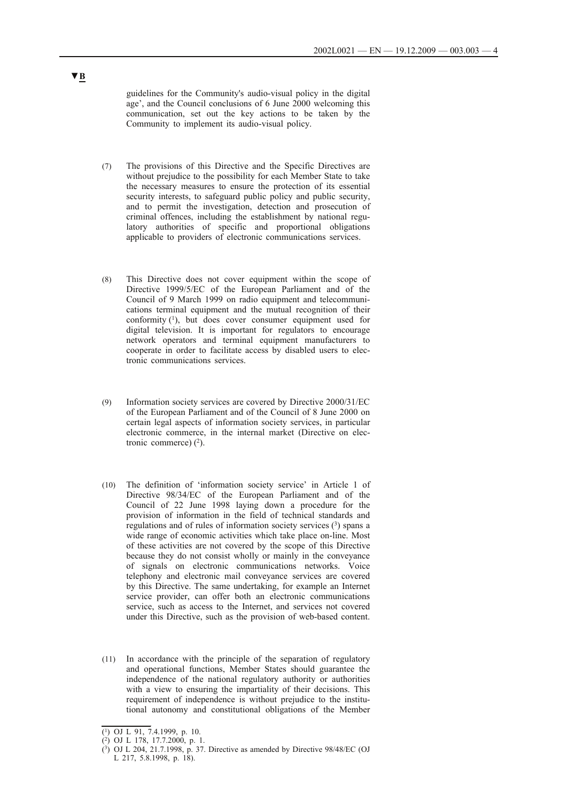guidelines for the Community's audio-visual policy in the digital age', and the Council conclusions of 6 June 2000 welcoming this communication, set out the key actions to be taken by the Community to implement its audio-visual policy.

- (7) The provisions of this Directive and the Specific Directives are without prejudice to the possibility for each Member State to take the necessary measures to ensure the protection of its essential security interests, to safeguard public policy and public security, and to permit the investigation, detection and prosecution of criminal offences, including the establishment by national regulatory authorities of specific and proportional obligations applicable to providers of electronic communications services.
- (8) This Directive does not cover equipment within the scope of Directive 1999/5/EC of the European Parliament and of the Council of 9 March 1999 on radio equipment and telecommunications terminal equipment and the mutual recognition of their conformity  $(1)$ , but does cover consumer equipment used for digital television. It is important for regulators to encourage network operators and terminal equipment manufacturers to cooperate in order to facilitate access by disabled users to electronic communications services.
- (9) Information society services are covered by Directive 2000/31/EC of the European Parliament and of the Council of 8 June 2000 on certain legal aspects of information society services, in particular electronic commerce, in the internal market (Directive on electronic commerce) (2).
- (10) The definition of 'information society service' in Article 1 of Directive 98/34/EC of the European Parliament and of the Council of 22 June 1998 laying down a procedure for the provision of information in the field of technical standards and regulations and of rules of information society services  $(3)$  spans a wide range of economic activities which take place on-line. Most of these activities are not covered by the scope of this Directive because they do not consist wholly or mainly in the conveyance of signals on electronic communications networks. Voice telephony and electronic mail conveyance services are covered by this Directive. The same undertaking, for example an Internet service provider, can offer both an electronic communications service, such as access to the Internet, and services not covered under this Directive, such as the provision of web-based content.
- (11) In accordance with the principle of the separation of regulatory and operational functions, Member States should guarantee the independence of the national regulatory authority or authorities with a view to ensuring the impartiality of their decisions. This requirement of independence is without prejudice to the institutional autonomy and constitutional obligations of the Member

<sup>(1)</sup> OJ L 91, 7.4.1999, p. 10.

<sup>(2)</sup> OJ L 178, 17.7.2000, p. 1.

 $(3)$  OJ L 204, 21.7.1998, p. 37. Directive as amended by Directive 98/48/EC (OJ L 217, 5.8.1998, p. 18).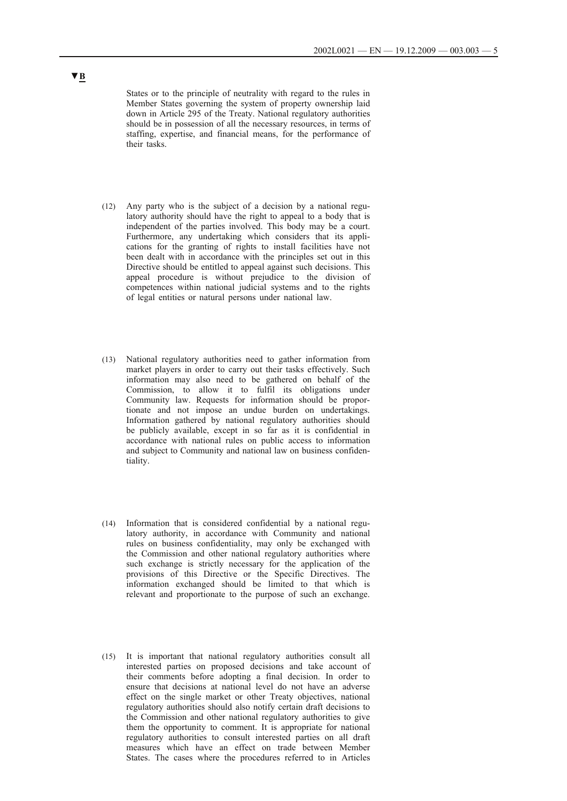States or to the principle of neutrality with regard to the rules in Member States governing the system of property ownership laid down in Article 295 of the Treaty. National regulatory authorities should be in possession of all the necessary resources, in terms of staffing, expertise, and financial means, for the performance of their tasks.

- (12) Any party who is the subject of a decision by a national regulatory authority should have the right to appeal to a body that is independent of the parties involved. This body may be a court. Furthermore, any undertaking which considers that its applications for the granting of rights to install facilities have not been dealt with in accordance with the principles set out in this Directive should be entitled to appeal against such decisions. This appeal procedure is without prejudice to the division of competences within national judicial systems and to the rights of legal entities or natural persons under national law.
- (13) National regulatory authorities need to gather information from market players in order to carry out their tasks effectively. Such information may also need to be gathered on behalf of the Commission, to allow it to fulfil its obligations under Community law. Requests for information should be proportionate and not impose an undue burden on undertakings. Information gathered by national regulatory authorities should be publicly available, except in so far as it is confidential in accordance with national rules on public access to information and subject to Community and national law on business confidentiality.
- (14) Information that is considered confidential by a national regulatory authority, in accordance with Community and national rules on business confidentiality, may only be exchanged with the Commission and other national regulatory authorities where such exchange is strictly necessary for the application of the provisions of this Directive or the Specific Directives. The information exchanged should be limited to that which is relevant and proportionate to the purpose of such an exchange.
- (15) It is important that national regulatory authorities consult all interested parties on proposed decisions and take account of their comments before adopting a final decision. In order to ensure that decisions at national level do not have an adverse effect on the single market or other Treaty objectives, national regulatory authorities should also notify certain draft decisions to the Commission and other national regulatory authorities to give them the opportunity to comment. It is appropriate for national regulatory authorities to consult interested parties on all draft measures which have an effect on trade between Member States. The cases where the procedures referred to in Articles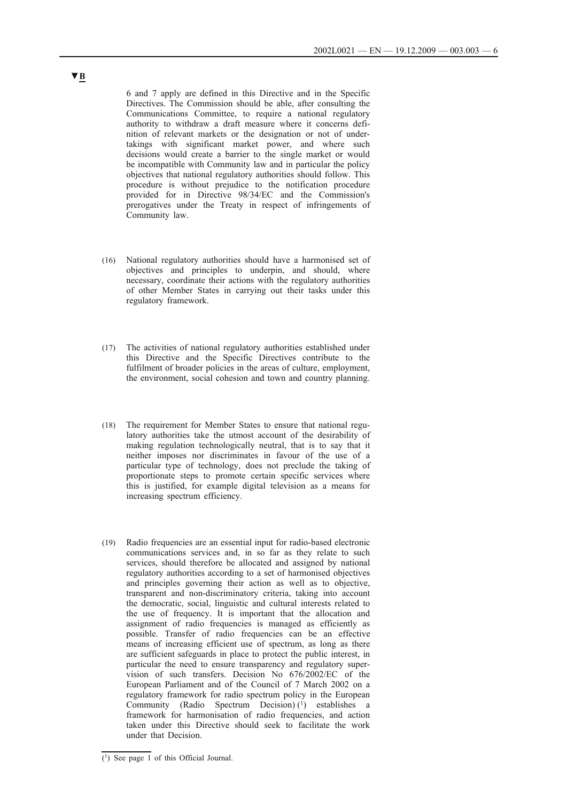6 and 7 apply are defined in this Directive and in the Specific Directives. The Commission should be able, after consulting the Communications Committee, to require a national regulatory authority to withdraw a draft measure where it concerns definition of relevant markets or the designation or not of undertakings with significant market power, and where such decisions would create a barrier to the single market or would be incompatible with Community law and in particular the policy objectives that national regulatory authorities should follow. This procedure is without prejudice to the notification procedure provided for in Directive 98/34/EC and the Commission's prerogatives under the Treaty in respect of infringements of Community law.

- (16) National regulatory authorities should have a harmonised set of objectives and principles to underpin, and should, where necessary, coordinate their actions with the regulatory authorities of other Member States in carrying out their tasks under this regulatory framework.
- (17) The activities of national regulatory authorities established under this Directive and the Specific Directives contribute to the fulfilment of broader policies in the areas of culture, employment, the environment, social cohesion and town and country planning.
- (18) The requirement for Member States to ensure that national regulatory authorities take the utmost account of the desirability of making regulation technologically neutral, that is to say that it neither imposes nor discriminates in favour of the use of a particular type of technology, does not preclude the taking of proportionate steps to promote certain specific services where this is justified, for example digital television as a means for increasing spectrum efficiency.
- (19) Radio frequencies are an essential input for radio-based electronic communications services and, in so far as they relate to such services, should therefore be allocated and assigned by national regulatory authorities according to a set of harmonised objectives and principles governing their action as well as to objective, transparent and non-discriminatory criteria, taking into account the democratic, social, linguistic and cultural interests related to the use of frequency. It is important that the allocation and assignment of radio frequencies is managed as efficiently as possible. Transfer of radio frequencies can be an effective means of increasing efficient use of spectrum, as long as there are sufficient safeguards in place to protect the public interest, in particular the need to ensure transparency and regulatory supervision of such transfers. Decision No 676/2002/EC of the European Parliament and of the Council of 7 March 2002 on a regulatory framework for radio spectrum policy in the European Community (Radio Spectrum Decision) (1) establishes a framework for harmonisation of radio frequencies, and action taken under this Directive should seek to facilitate the work under that Decision.

**<sup>▼</sup>B**

 $\overline{(^1)}$  See page 1 of this Official Journal.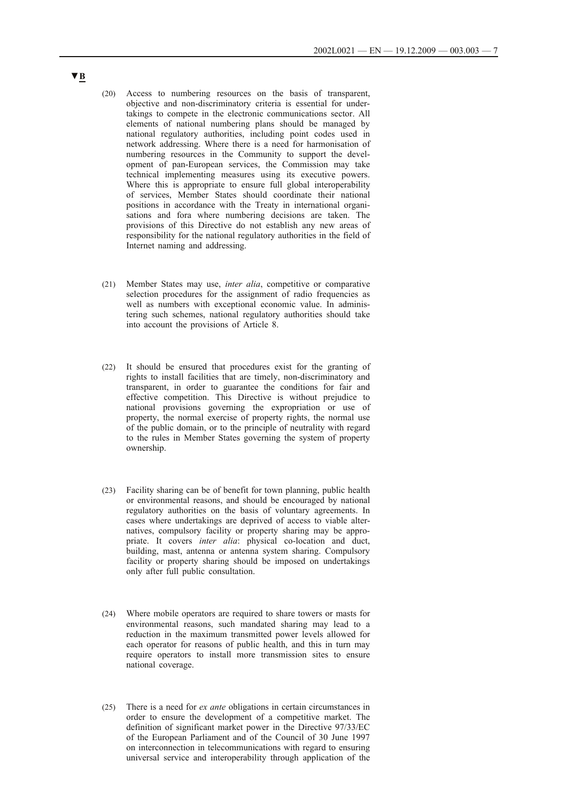- (20) Access to numbering resources on the basis of transparent, objective and non-discriminatory criteria is essential for undertakings to compete in the electronic communications sector. All elements of national numbering plans should be managed by national regulatory authorities, including point codes used in network addressing. Where there is a need for harmonisation of numbering resources in the Community to support the development of pan-European services, the Commission may take technical implementing measures using its executive powers. Where this is appropriate to ensure full global interoperability of services, Member States should coordinate their national positions in accordance with the Treaty in international organisations and fora where numbering decisions are taken. The provisions of this Directive do not establish any new areas of responsibility for the national regulatory authorities in the field of Internet naming and addressing.
- (21) Member States may use, *inter alia*, competitive or comparative selection procedures for the assignment of radio frequencies as well as numbers with exceptional economic value. In administering such schemes, national regulatory authorities should take into account the provisions of Article 8.
- (22) It should be ensured that procedures exist for the granting of rights to install facilities that are timely, non-discriminatory and transparent, in order to guarantee the conditions for fair and effective competition. This Directive is without prejudice to national provisions governing the expropriation or use of property, the normal exercise of property rights, the normal use of the public domain, or to the principle of neutrality with regard to the rules in Member States governing the system of property ownership.
- (23) Facility sharing can be of benefit for town planning, public health or environmental reasons, and should be encouraged by national regulatory authorities on the basis of voluntary agreements. In cases where undertakings are deprived of access to viable alternatives, compulsory facility or property sharing may be appropriate. It covers *inter alia*: physical co-location and duct, building, mast, antenna or antenna system sharing. Compulsory facility or property sharing should be imposed on undertakings only after full public consultation.
- (24) Where mobile operators are required to share towers or masts for environmental reasons, such mandated sharing may lead to a reduction in the maximum transmitted power levels allowed for each operator for reasons of public health, and this in turn may require operators to install more transmission sites to ensure national coverage.
- (25) There is a need for *ex ante* obligations in certain circumstances in order to ensure the development of a competitive market. The definition of significant market power in the Directive 97/33/EC of the European Parliament and of the Council of 30 June 1997 on interconnection in telecommunications with regard to ensuring universal service and interoperability through application of the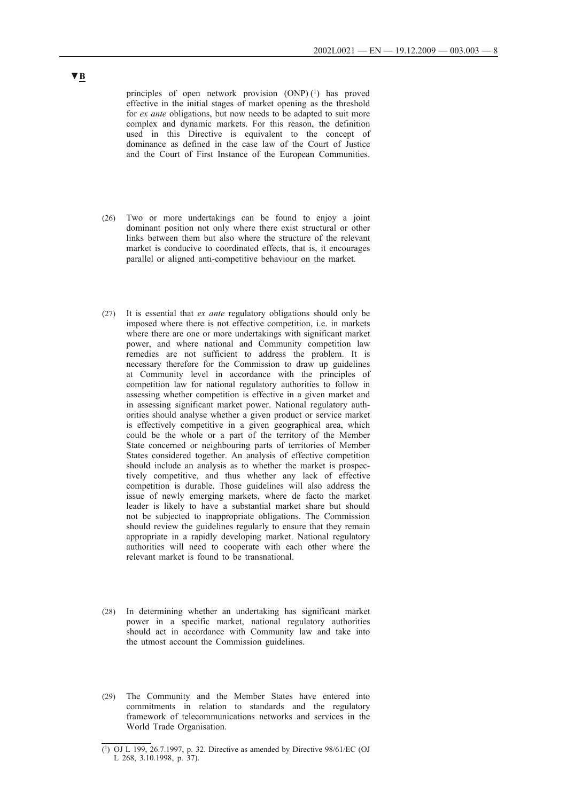principles of open network provision (ONP) (1) has proved effective in the initial stages of market opening as the threshold for *ex ante* obligations, but now needs to be adapted to suit more complex and dynamic markets. For this reason, the definition used in this Directive is equivalent to the concept of dominance as defined in the case law of the Court of Justice and the Court of First Instance of the European Communities.

- (26) Two or more undertakings can be found to enjoy a joint dominant position not only where there exist structural or other links between them but also where the structure of the relevant market is conducive to coordinated effects, that is, it encourages parallel or aligned anti-competitive behaviour on the market.
- (27) It is essential that *ex ante* regulatory obligations should only be imposed where there is not effective competition, i.e. in markets where there are one or more undertakings with significant market power, and where national and Community competition law remedies are not sufficient to address the problem. It is necessary therefore for the Commission to draw up guidelines at Community level in accordance with the principles of competition law for national regulatory authorities to follow in assessing whether competition is effective in a given market and in assessing significant market power. National regulatory authorities should analyse whether a given product or service market is effectively competitive in a given geographical area, which could be the whole or a part of the territory of the Member State concerned or neighbouring parts of territories of Member States considered together. An analysis of effective competition should include an analysis as to whether the market is prospectively competitive, and thus whether any lack of effective competition is durable. Those guidelines will also address the issue of newly emerging markets, where de facto the market leader is likely to have a substantial market share but should not be subjected to inappropriate obligations. The Commission should review the guidelines regularly to ensure that they remain appropriate in a rapidly developing market. National regulatory authorities will need to cooperate with each other where the relevant market is found to be transnational.
- (28) In determining whether an undertaking has significant market power in a specific market, national regulatory authorities should act in accordance with Community law and take into the utmost account the Commission guidelines.
- (29) The Community and the Member States have entered into commitments in relation to standards and the regulatory framework of telecommunications networks and services in the World Trade Organisation.

 $(1)$  OJ L 199, 26.7.1997, p. 32. Directive as amended by Directive 98/61/EC (OJ L 268, 3.10.1998, p. 37).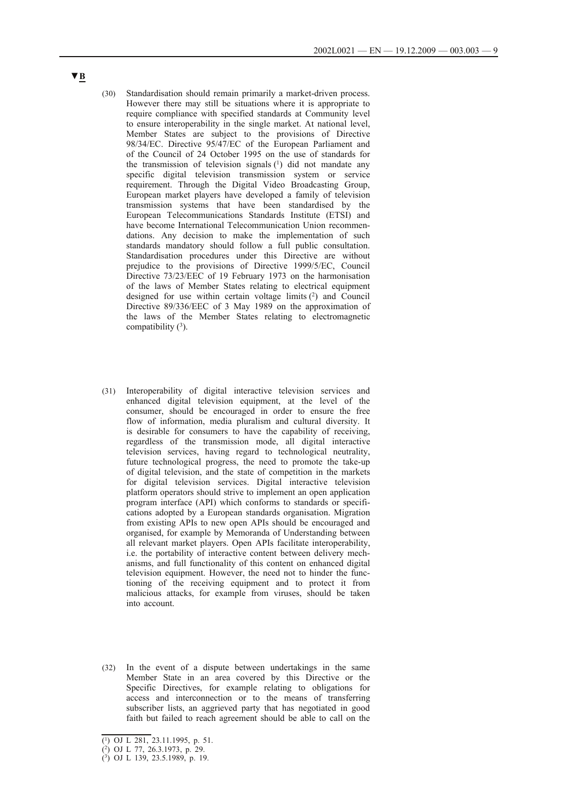- (30) Standardisation should remain primarily a market-driven process. However there may still be situations where it is appropriate to require compliance with specified standards at Community level to ensure interoperability in the single market. At national level, Member States are subject to the provisions of Directive 98/34/EC. Directive 95/47/EC of the European Parliament and of the Council of 24 October 1995 on the use of standards for the transmission of television signals  $(1)$  did not mandate any specific digital television transmission system or service requirement. Through the Digital Video Broadcasting Group, European market players have developed a family of television transmission systems that have been standardised by the European Telecommunications Standards Institute (ETSI) and have become International Telecommunication Union recommendations. Any decision to make the implementation of such standards mandatory should follow a full public consultation. Standardisation procedures under this Directive are without prejudice to the provisions of Directive 1999/5/EC, Council Directive 73/23/EEC of 19 February 1973 on the harmonisation of the laws of Member States relating to electrical equipment designed for use within certain voltage limits (2) and Council Directive 89/336/EEC of 3 May 1989 on the approximation of the laws of the Member States relating to electromagnetic compatibility  $(3)$ .
- (31) Interoperability of digital interactive television services and enhanced digital television equipment, at the level of the consumer, should be encouraged in order to ensure the free flow of information, media pluralism and cultural diversity. It is desirable for consumers to have the capability of receiving, regardless of the transmission mode, all digital interactive television services, having regard to technological neutrality, future technological progress, the need to promote the take-up of digital television, and the state of competition in the markets for digital television services. Digital interactive television platform operators should strive to implement an open application program interface (API) which conforms to standards or specifications adopted by a European standards organisation. Migration from existing APIs to new open APIs should be encouraged and organised, for example by Memoranda of Understanding between all relevant market players. Open APIs facilitate interoperability, i.e. the portability of interactive content between delivery mechanisms, and full functionality of this content on enhanced digital television equipment. However, the need not to hinder the functioning of the receiving equipment and to protect it from malicious attacks, for example from viruses, should be taken into account.
- (32) In the event of a dispute between undertakings in the same Member State in an area covered by this Directive or the Specific Directives, for example relating to obligations for access and interconnection or to the means of transferring subscriber lists, an aggrieved party that has negotiated in good faith but failed to reach agreement should be able to call on the

<sup>(1)</sup> OJ L 281, 23.11.1995, p. 51.

<sup>(2)</sup> OJ L 77, 26.3.1973, p. 29.

 $(3)$  OJ L 139, 23.5.1989, p. 19.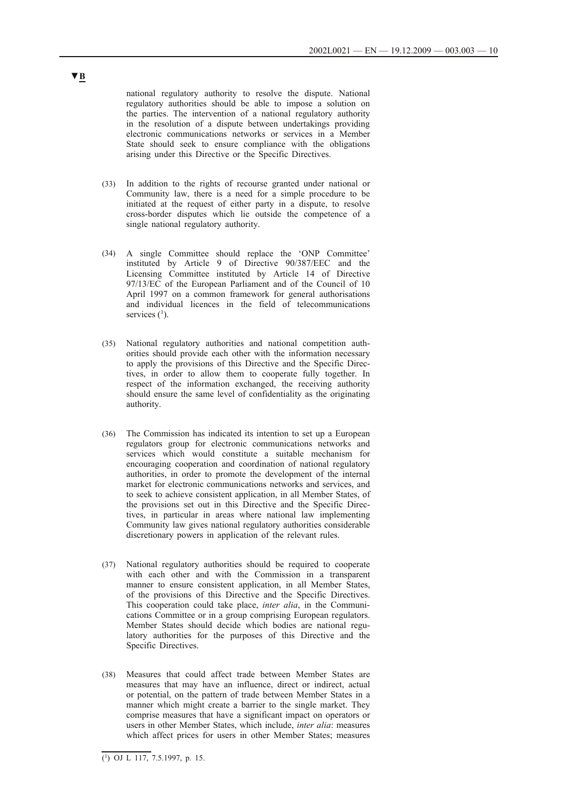national regulatory authority to resolve the dispute. National regulatory authorities should be able to impose a solution on the parties. The intervention of a national regulatory authority in the resolution of a dispute between undertakings providing electronic communications networks or services in a Member State should seek to ensure compliance with the obligations arising under this Directive or the Specific Directives.

- (33) In addition to the rights of recourse granted under national or Community law, there is a need for a simple procedure to be initiated at the request of either party in a dispute, to resolve cross-border disputes which lie outside the competence of a single national regulatory authority.
- (34) A single Committee should replace the 'ONP Committee' instituted by Article 9 of Directive 90/387/EEC and the Licensing Committee instituted by Article 14 of Directive 97/13/EC of the European Parliament and of the Council of 10 April 1997 on a common framework for general authorisations and individual licences in the field of telecommunications services  $(1)$ .
- (35) National regulatory authorities and national competition authorities should provide each other with the information necessary to apply the provisions of this Directive and the Specific Directives, in order to allow them to cooperate fully together. In respect of the information exchanged, the receiving authority should ensure the same level of confidentiality as the originating authority.
- (36) The Commission has indicated its intention to set up a European regulators group for electronic communications networks and services which would constitute a suitable mechanism for encouraging cooperation and coordination of national regulatory authorities, in order to promote the development of the internal market for electronic communications networks and services, and to seek to achieve consistent application, in all Member States, of the provisions set out in this Directive and the Specific Directives, in particular in areas where national law implementing Community law gives national regulatory authorities considerable discretionary powers in application of the relevant rules.
- (37) National regulatory authorities should be required to cooperate with each other and with the Commission in a transparent manner to ensure consistent application, in all Member States, of the provisions of this Directive and the Specific Directives. This cooperation could take place, *inter alia*, in the Communications Committee or in a group comprising European regulators. Member States should decide which bodies are national regulatory authorities for the purposes of this Directive and the Specific Directives.
- (38) Measures that could affect trade between Member States are measures that may have an influence, direct or indirect, actual or potential, on the pattern of trade between Member States in a manner which might create a barrier to the single market. They comprise measures that have a significant impact on operators or users in other Member States, which include, *inter alia*: measures which affect prices for users in other Member States; measures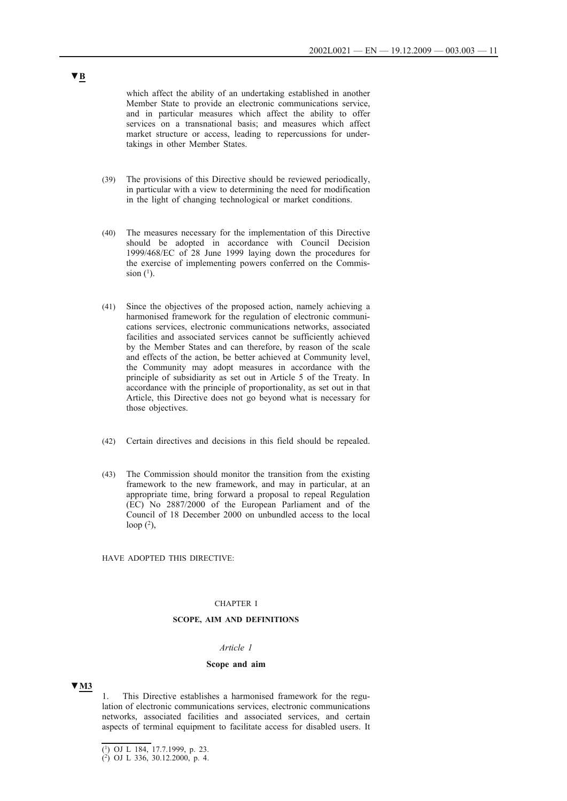which affect the ability of an undertaking established in another Member State to provide an electronic communications service, and in particular measures which affect the ability to offer services on a transnational basis; and measures which affect market structure or access, leading to repercussions for undertakings in other Member States.

- (39) The provisions of this Directive should be reviewed periodically, in particular with a view to determining the need for modification in the light of changing technological or market conditions.
- (40) The measures necessary for the implementation of this Directive should be adopted in accordance with Council Decision 1999/468/EC of 28 June 1999 laying down the procedures for the exercise of implementing powers conferred on the Commission  $(^1)$ .
- (41) Since the objectives of the proposed action, namely achieving a harmonised framework for the regulation of electronic communications services, electronic communications networks, associated facilities and associated services cannot be sufficiently achieved by the Member States and can therefore, by reason of the scale and effects of the action, be better achieved at Community level, the Community may adopt measures in accordance with the principle of subsidiarity as set out in Article 5 of the Treaty. In accordance with the principle of proportionality, as set out in that Article, this Directive does not go beyond what is necessary for those objectives.
- (42) Certain directives and decisions in this field should be repealed.
- (43) The Commission should monitor the transition from the existing framework to the new framework, and may in particular, at an appropriate time, bring forward a proposal to repeal Regulation (EC) No 2887/2000 of the European Parliament and of the Council of 18 December 2000 on unbundled access to the local loop  $(2)$ ,

HAVE ADOPTED THIS DIRECTIVE:

### CHAPTER I

# **SCOPE, AIM AND DEFINITIONS**

### *Article 1*

#### **Scope and aim**

### **▼M3**

1. This Directive establishes a harmonised framework for the regulation of electronic communications services, electronic communications networks, associated facilities and associated services, and certain aspects of terminal equipment to facilitate access for disabled users. It

<sup>(1)</sup> OJ L 184, 17.7.1999, p. 23.

 $(2)$  OJ L 336, 30.12.2000, p. 4.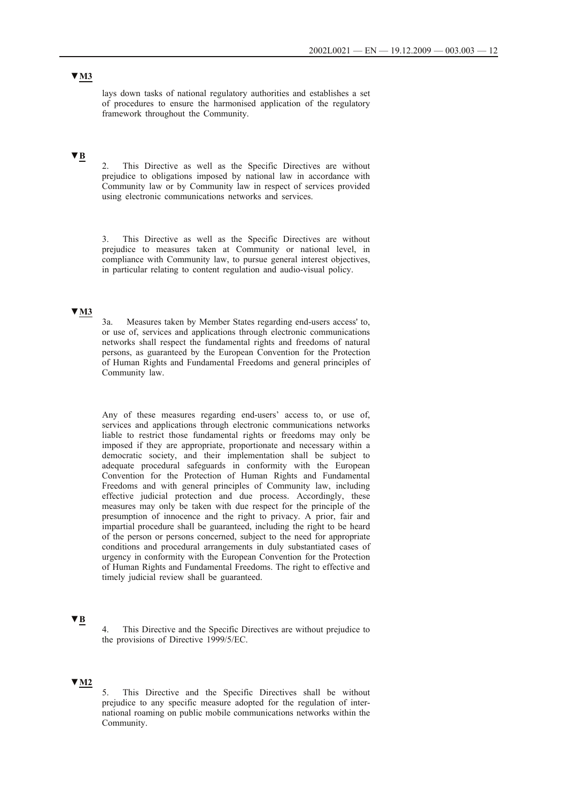lays down tasks of national regulatory authorities and establishes a set of procedures to ensure the harmonised application of the regulatory framework throughout the Community.

# **▼B**

2. This Directive as well as the Specific Directives are without prejudice to obligations imposed by national law in accordance with Community law or by Community law in respect of services provided using electronic communications networks and services.

3. This Directive as well as the Specific Directives are without prejudice to measures taken at Community or national level, in compliance with Community law, to pursue general interest objectives, in particular relating to content regulation and audio-visual policy.

### **▼M3**

3a. Measures taken by Member States regarding end-users access' to, or use of, services and applications through electronic communications networks shall respect the fundamental rights and freedoms of natural persons, as guaranteed by the European Convention for the Protection of Human Rights and Fundamental Freedoms and general principles of Community law.

Any of these measures regarding end-users' access to, or use of, services and applications through electronic communications networks liable to restrict those fundamental rights or freedoms may only be imposed if they are appropriate, proportionate and necessary within a democratic society, and their implementation shall be subject to adequate procedural safeguards in conformity with the European Convention for the Protection of Human Rights and Fundamental Freedoms and with general principles of Community law, including effective judicial protection and due process. Accordingly, these measures may only be taken with due respect for the principle of the presumption of innocence and the right to privacy. A prior, fair and impartial procedure shall be guaranteed, including the right to be heard of the person or persons concerned, subject to the need for appropriate conditions and procedural arrangements in duly substantiated cases of urgency in conformity with the European Convention for the Protection of Human Rights and Fundamental Freedoms. The right to effective and timely judicial review shall be guaranteed.

# **▼B**

This Directive and the Specific Directives are without prejudice to the provisions of Directive 1999/5/EC.

# **▼M2**

5. This Directive and the Specific Directives shall be without prejudice to any specific measure adopted for the regulation of international roaming on public mobile communications networks within the Community.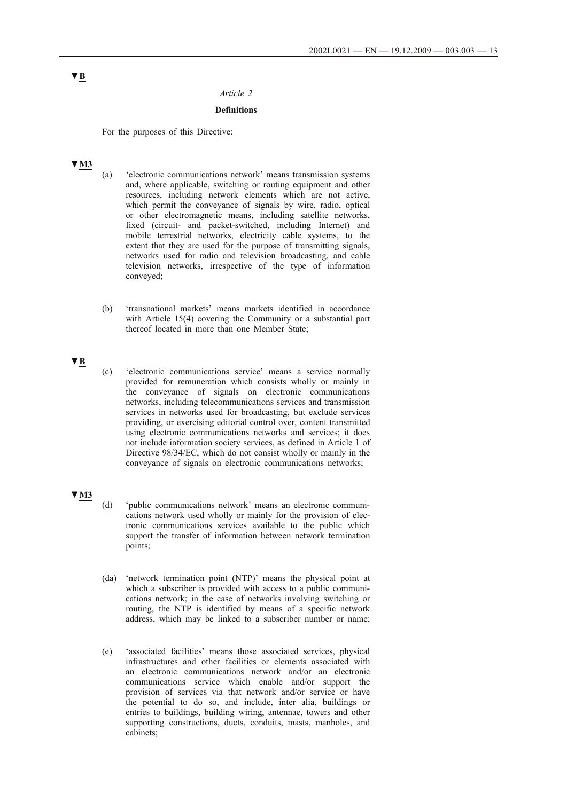### *Article 2*

# **Definitions**

For the purposes of this Directive:

### **▼M3**

- (a) 'electronic communications network' means transmission systems and, where applicable, switching or routing equipment and other resources, including network elements which are not active, which permit the conveyance of signals by wire, radio, optical or other electromagnetic means, including satellite networks, fixed (circuit- and packet-switched, including Internet) and mobile terrestrial networks, electricity cable systems, to the extent that they are used for the purpose of transmitting signals, networks used for radio and television broadcasting, and cable television networks, irrespective of the type of information conveyed;
- (b) 'transnational markets' means markets identified in accordance with Article 15(4) covering the Community or a substantial part thereof located in more than one Member State;

## **▼B**

(c) 'electronic communications service' means a service normally provided for remuneration which consists wholly or mainly in the conveyance of signals on electronic communications networks, including telecommunications services and transmission services in networks used for broadcasting, but exclude services providing, or exercising editorial control over, content transmitted using electronic communications networks and services; it does not include information society services, as defined in Article 1 of Directive 98/34/EC, which do not consist wholly or mainly in the conveyance of signals on electronic communications networks;

# **▼M3**

- (d) 'public communications network' means an electronic communications network used wholly or mainly for the provision of electronic communications services available to the public which support the transfer of information between network termination points;
- (da) 'network termination point (NTP)' means the physical point at which a subscriber is provided with access to a public communications network; in the case of networks involving switching or routing, the NTP is identified by means of a specific network address, which may be linked to a subscriber number or name;
- (e) 'associated facilities' means those associated services, physical infrastructures and other facilities or elements associated with an electronic communications network and/or an electronic communications service which enable and/or support the provision of services via that network and/or service or have the potential to do so, and include, inter alia, buildings or entries to buildings, building wiring, antennae, towers and other supporting constructions, ducts, conduits, masts, manholes, and cabinets;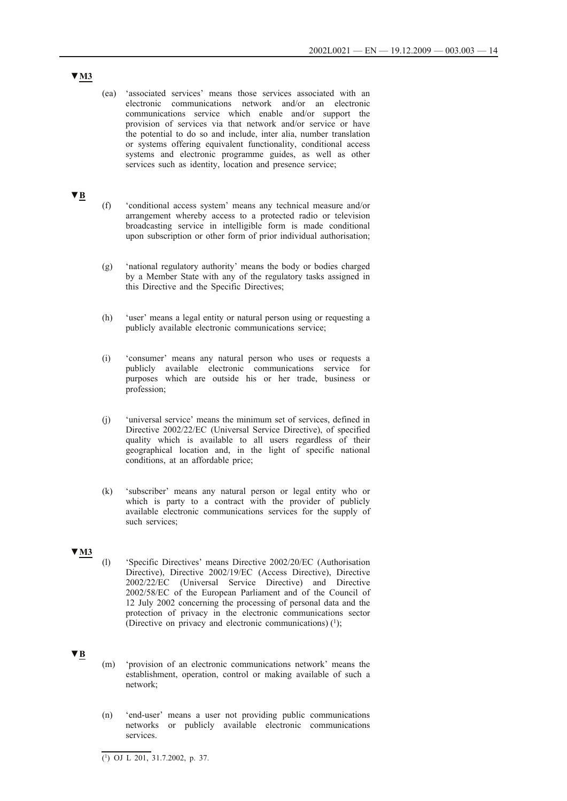(ea) 'associated services' means those services associated with an electronic communications network and/or an electronic communications service which enable and/or support the provision of services via that network and/or service or have the potential to do so and include, inter alia, number translation or systems offering equivalent functionality, conditional access systems and electronic programme guides, as well as other services such as identity, location and presence service;

### **▼B**

- (f) 'conditional access system' means any technical measure and/or arrangement whereby access to a protected radio or television broadcasting service in intelligible form is made conditional upon subscription or other form of prior individual authorisation;
- (g) 'national regulatory authority' means the body or bodies charged by a Member State with any of the regulatory tasks assigned in this Directive and the Specific Directives;
- (h) 'user' means a legal entity or natural person using or requesting a publicly available electronic communications service;
- (i) 'consumer' means any natural person who uses or requests a publicly available electronic communications service for purposes which are outside his or her trade, business or profession;
- (j) 'universal service' means the minimum set of services, defined in Directive 2002/22/EC (Universal Service Directive), of specified quality which is available to all users regardless of their geographical location and, in the light of specific national conditions, at an affordable price;
- (k) 'subscriber' means any natural person or legal entity who or which is party to a contract with the provider of publicly available electronic communications services for the supply of such services:

# **▼M3**

(l) 'Specific Directives' means Directive 2002/20/EC (Authorisation Directive), Directive 2002/19/EC (Access Directive), Directive 2002/22/EC (Universal Service Directive) and Directive 2002/58/EC of the European Parliament and of the Council of 12 July 2002 concerning the processing of personal data and the protection of privacy in the electronic communications sector (Directive on privacy and electronic communications) (1);

# **▼B**

- (m) 'provision of an electronic communications network' means the establishment, operation, control or making available of such a network;
- (n) 'end-user' means a user not providing public communications networks or publicly available electronic communications services.

 $(1)$  OJ L 201, 31.7.2002, p. 37.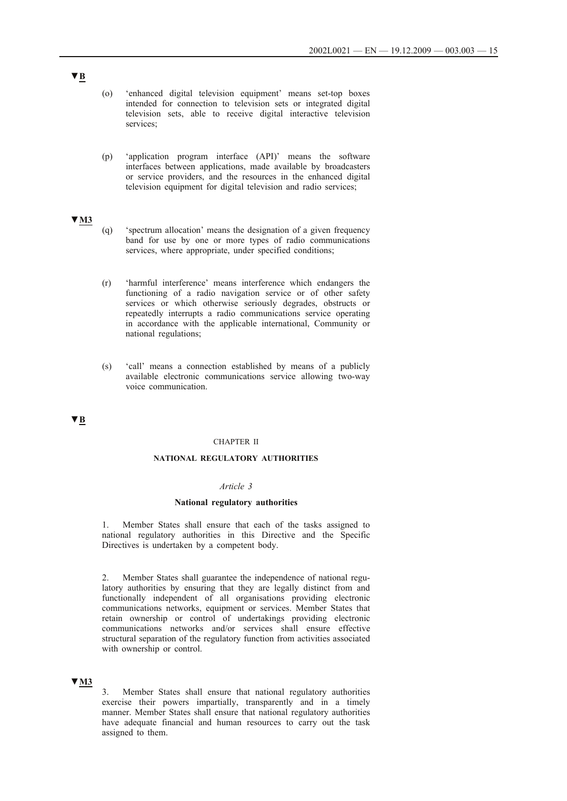- (o) 'enhanced digital television equipment' means set-top boxes intended for connection to television sets or integrated digital television sets, able to receive digital interactive television services;
- (p) 'application program interface (API)' means the software interfaces between applications, made available by broadcasters or service providers, and the resources in the enhanced digital television equipment for digital television and radio services;

### **▼M3**

- (q) 'spectrum allocation' means the designation of a given frequency band for use by one or more types of radio communications services, where appropriate, under specified conditions;
- (r) 'harmful interference' means interference which endangers the functioning of a radio navigation service or of other safety services or which otherwise seriously degrades, obstructs or repeatedly interrupts a radio communications service operating in accordance with the applicable international, Community or national regulations;
- (s) 'call' means a connection established by means of a publicly available electronic communications service allowing two-way voice communication.

# **▼B**

### CHAPTER II

### **NATIONAL REGULATORY AUTHORITIES**

#### *Article 3*

#### **National regulatory authorities**

1. Member States shall ensure that each of the tasks assigned to national regulatory authorities in this Directive and the Specific Directives is undertaken by a competent body.

2. Member States shall guarantee the independence of national regulatory authorities by ensuring that they are legally distinct from and functionally independent of all organisations providing electronic communications networks, equipment or services. Member States that retain ownership or control of undertakings providing electronic communications networks and/or services shall ensure effective structural separation of the regulatory function from activities associated with ownership or control.

### **▼M3**

3. Member States shall ensure that national regulatory authorities exercise their powers impartially, transparently and in a timely manner. Member States shall ensure that national regulatory authorities have adequate financial and human resources to carry out the task assigned to them.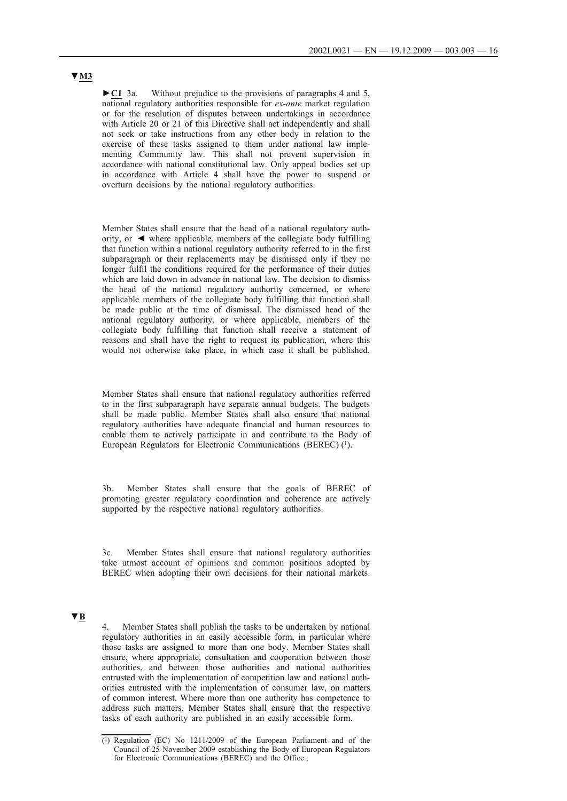**►C1** 3a. Without prejudice to the provisions of paragraphs 4 and 5, national regulatory authorities responsible for *ex-ante* market regulation or for the resolution of disputes between undertakings in accordance with Article 20 or 21 of this Directive shall act independently and shall not seek or take instructions from any other body in relation to the exercise of these tasks assigned to them under national law implementing Community law. This shall not prevent supervision in accordance with national constitutional law. Only appeal bodies set up in accordance with Article 4 shall have the power to suspend or overturn decisions by the national regulatory authorities.

Member States shall ensure that the head of a national regulatory authority, or  $\blacktriangleleft$  where applicable, members of the collegiate body fulfilling that function within a national regulatory authority referred to in the first subparagraph or their replacements may be dismissed only if they no longer fulfil the conditions required for the performance of their duties which are laid down in advance in national law. The decision to dismiss the head of the national regulatory authority concerned, or where applicable members of the collegiate body fulfilling that function shall be made public at the time of dismissal. The dismissed head of the national regulatory authority, or where applicable, members of the collegiate body fulfilling that function shall receive a statement of reasons and shall have the right to request its publication, where this would not otherwise take place, in which case it shall be published.

Member States shall ensure that national regulatory authorities referred to in the first subparagraph have separate annual budgets. The budgets shall be made public. Member States shall also ensure that national regulatory authorities have adequate financial and human resources to enable them to actively participate in and contribute to the Body of European Regulators for Electronic Communications (BEREC) (<sup>1</sup>).

3b. Member States shall ensure that the goals of BEREC of promoting greater regulatory coordination and coherence are actively supported by the respective national regulatory authorities.

3c. Member States shall ensure that national regulatory authorities take utmost account of opinions and common positions adopted by BEREC when adopting their own decisions for their national markets.

# **▼B**

4. Member States shall publish the tasks to be undertaken by national regulatory authorities in an easily accessible form, in particular where those tasks are assigned to more than one body. Member States shall ensure, where appropriate, consultation and cooperation between those authorities, and between those authorities and national authorities entrusted with the implementation of competition law and national authorities entrusted with the implementation of consumer law, on matters of common interest. Where more than one authority has competence to address such matters, Member States shall ensure that the respective tasks of each authority are published in an easily accessible form.

<sup>(1)</sup> Regulation (EC) No 1211/2009 of the European Parliament and of the Council of 25 November 2009 establishing the Body of European Regulators for Electronic Communications (BEREC) and the Office.;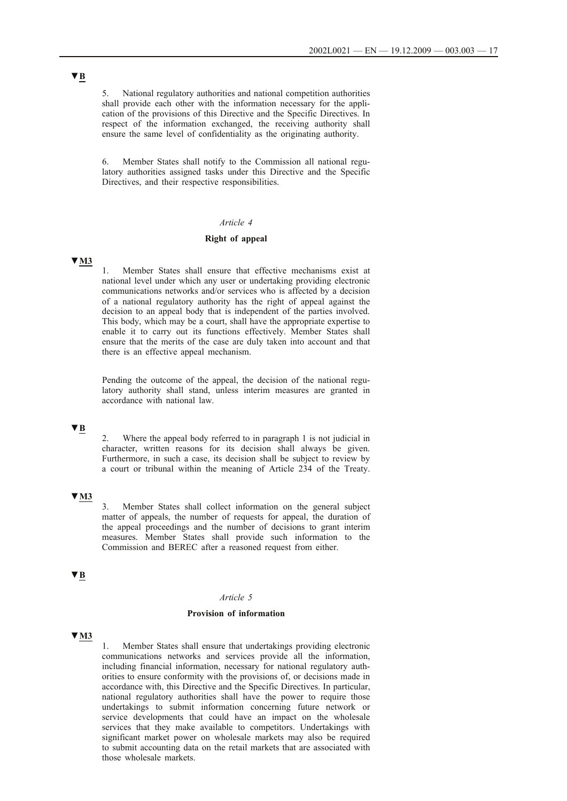5. National regulatory authorities and national competition authorities shall provide each other with the information necessary for the application of the provisions of this Directive and the Specific Directives. In respect of the information exchanged, the receiving authority shall ensure the same level of confidentiality as the originating authority.

6. Member States shall notify to the Commission all national regulatory authorities assigned tasks under this Directive and the Specific Directives, and their respective responsibilities.

### *Article 4*

### **Right of appeal**

### **▼M3**

1. Member States shall ensure that effective mechanisms exist at national level under which any user or undertaking providing electronic communications networks and/or services who is affected by a decision of a national regulatory authority has the right of appeal against the decision to an appeal body that is independent of the parties involved. This body, which may be a court, shall have the appropriate expertise to enable it to carry out its functions effectively. Member States shall ensure that the merits of the case are duly taken into account and that there is an effective appeal mechanism.

Pending the outcome of the appeal, the decision of the national regulatory authority shall stand, unless interim measures are granted in accordance with national law.

### **▼B**

2. Where the appeal body referred to in paragraph 1 is not judicial in character, written reasons for its decision shall always be given. Furthermore, in such a case, its decision shall be subject to review by a court or tribunal within the meaning of Article 234 of the Treaty.

# **▼M3**

3. Member States shall collect information on the general subject matter of appeals, the number of requests for appeal, the duration of the appeal proceedings and the number of decisions to grant interim measures. Member States shall provide such information to the Commission and BEREC after a reasoned request from either.

# **▼B**

### *Article 5*

#### **Provision of information**

# **▼M3**

1. Member States shall ensure that undertakings providing electronic communications networks and services provide all the information, including financial information, necessary for national regulatory authorities to ensure conformity with the provisions of, or decisions made in accordance with, this Directive and the Specific Directives. In particular, national regulatory authorities shall have the power to require those undertakings to submit information concerning future network or service developments that could have an impact on the wholesale services that they make available to competitors. Undertakings with significant market power on wholesale markets may also be required to submit accounting data on the retail markets that are associated with those wholesale markets.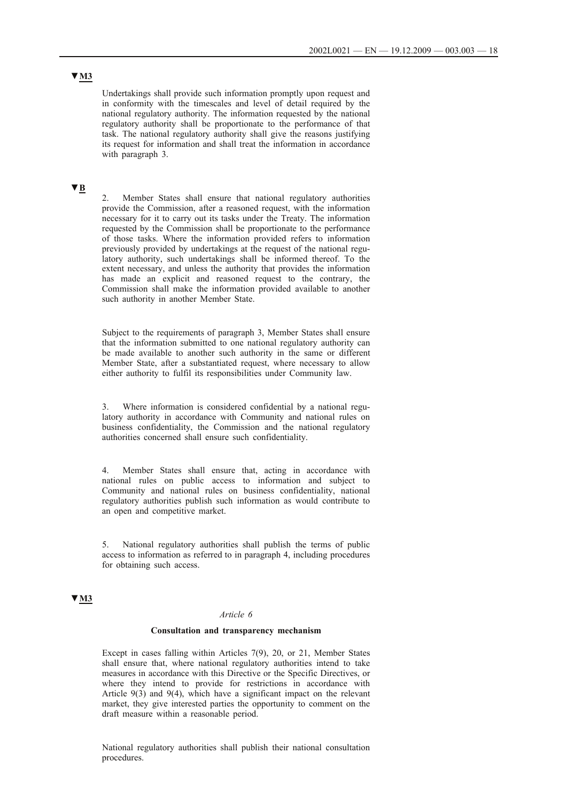# **▼M3**

Undertakings shall provide such information promptly upon request and in conformity with the timescales and level of detail required by the national regulatory authority. The information requested by the national regulatory authority shall be proportionate to the performance of that task. The national regulatory authority shall give the reasons justifying its request for information and shall treat the information in accordance with paragraph 3.

# **▼B**

2. Member States shall ensure that national regulatory authorities provide the Commission, after a reasoned request, with the information necessary for it to carry out its tasks under the Treaty. The information requested by the Commission shall be proportionate to the performance of those tasks. Where the information provided refers to information previously provided by undertakings at the request of the national regulatory authority, such undertakings shall be informed thereof. To the extent necessary, and unless the authority that provides the information has made an explicit and reasoned request to the contrary, the Commission shall make the information provided available to another such authority in another Member State.

Subject to the requirements of paragraph 3, Member States shall ensure that the information submitted to one national regulatory authority can be made available to another such authority in the same or different Member State, after a substantiated request, where necessary to allow either authority to fulfil its responsibilities under Community law.

3. Where information is considered confidential by a national regulatory authority in accordance with Community and national rules on business confidentiality, the Commission and the national regulatory authorities concerned shall ensure such confidentiality.

4. Member States shall ensure that, acting in accordance with national rules on public access to information and subject to Community and national rules on business confidentiality, national regulatory authorities publish such information as would contribute to an open and competitive market.

5. National regulatory authorities shall publish the terms of public access to information as referred to in paragraph 4, including procedures for obtaining such access.

# **▼M3**

### *Article 6*

# **Consultation and transparency mechanism**

Except in cases falling within Articles 7(9), 20, or 21, Member States shall ensure that, where national regulatory authorities intend to take measures in accordance with this Directive or the Specific Directives, or where they intend to provide for restrictions in accordance with Article 9(3) and 9(4), which have a significant impact on the relevant market, they give interested parties the opportunity to comment on the draft measure within a reasonable period.

National regulatory authorities shall publish their national consultation procedures.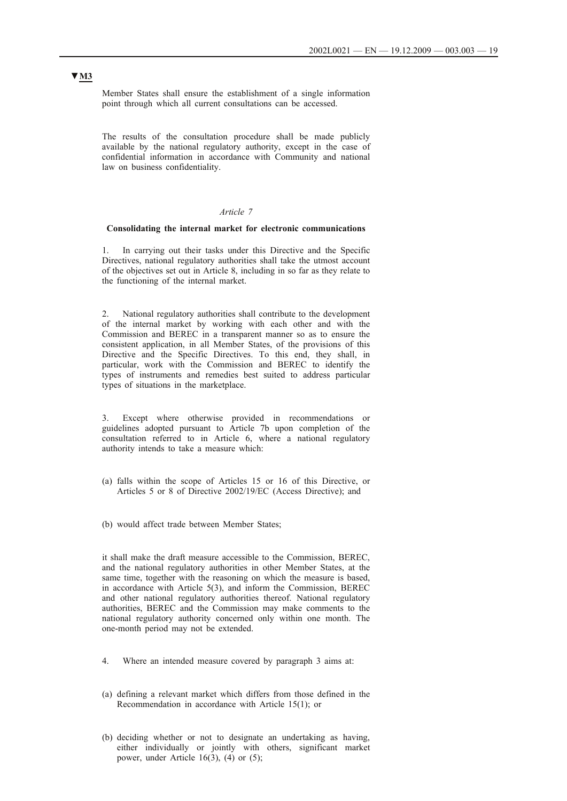Member States shall ensure the establishment of a single information point through which all current consultations can be accessed.

The results of the consultation procedure shall be made publicly available by the national regulatory authority, except in the case of confidential information in accordance with Community and national law on business confidentiality.

### *Article 7*

### **Consolidating the internal market for electronic communications**

1. In carrying out their tasks under this Directive and the Specific Directives, national regulatory authorities shall take the utmost account of the objectives set out in Article 8, including in so far as they relate to the functioning of the internal market.

2. National regulatory authorities shall contribute to the development of the internal market by working with each other and with the Commission and BEREC in a transparent manner so as to ensure the consistent application, in all Member States, of the provisions of this Directive and the Specific Directives. To this end, they shall, in particular, work with the Commission and BEREC to identify the types of instruments and remedies best suited to address particular types of situations in the marketplace.

3. Except where otherwise provided in recommendations or guidelines adopted pursuant to Article 7b upon completion of the consultation referred to in Article 6, where a national regulatory authority intends to take a measure which:

- (a) falls within the scope of Articles 15 or 16 of this Directive, or Articles 5 or 8 of Directive 2002/19/EC (Access Directive); and
- (b) would affect trade between Member States;

it shall make the draft measure accessible to the Commission, BEREC, and the national regulatory authorities in other Member States, at the same time, together with the reasoning on which the measure is based, in accordance with Article 5(3), and inform the Commission, BEREC and other national regulatory authorities thereof. National regulatory authorities, BEREC and the Commission may make comments to the national regulatory authority concerned only within one month. The one-month period may not be extended.

- 4. Where an intended measure covered by paragraph 3 aims at:
- (a) defining a relevant market which differs from those defined in the Recommendation in accordance with Article 15(1); or
- (b) deciding whether or not to designate an undertaking as having, either individually or jointly with others, significant market power, under Article  $16(3)$ ,  $(4)$  or  $(5)$ ;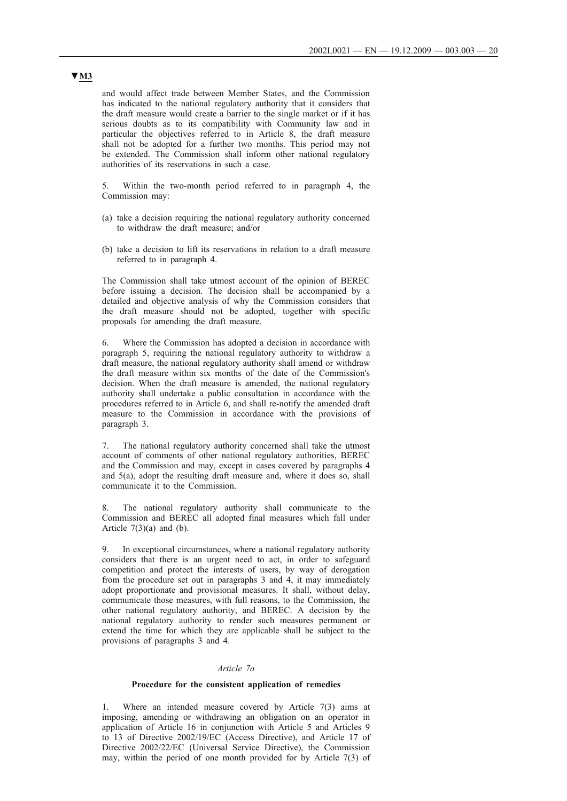and would affect trade between Member States, and the Commission has indicated to the national regulatory authority that it considers that the draft measure would create a barrier to the single market or if it has serious doubts as to its compatibility with Community law and in particular the objectives referred to in Article 8, the draft measure shall not be adopted for a further two months. This period may not be extended. The Commission shall inform other national regulatory authorities of its reservations in such a case.

Within the two-month period referred to in paragraph 4, the Commission may:

- (a) take a decision requiring the national regulatory authority concerned to withdraw the draft measure; and/or
- (b) take a decision to lift its reservations in relation to a draft measure referred to in paragraph 4.

The Commission shall take utmost account of the opinion of BEREC before issuing a decision. The decision shall be accompanied by a detailed and objective analysis of why the Commission considers that the draft measure should not be adopted, together with specific proposals for amending the draft measure.

6. Where the Commission has adopted a decision in accordance with paragraph 5, requiring the national regulatory authority to withdraw a draft measure, the national regulatory authority shall amend or withdraw the draft measure within six months of the date of the Commission's decision. When the draft measure is amended, the national regulatory authority shall undertake a public consultation in accordance with the procedures referred to in Article 6, and shall re-notify the amended draft measure to the Commission in accordance with the provisions of paragraph 3.

7. The national regulatory authority concerned shall take the utmost account of comments of other national regulatory authorities, BEREC and the Commission and may, except in cases covered by paragraphs 4 and 5(a), adopt the resulting draft measure and, where it does so, shall communicate it to the Commission.

8. The national regulatory authority shall communicate to the Commission and BEREC all adopted final measures which fall under Article  $7(3)(a)$  and (b).

9. In exceptional circumstances, where a national regulatory authority considers that there is an urgent need to act, in order to safeguard competition and protect the interests of users, by way of derogation from the procedure set out in paragraphs 3 and 4, it may immediately adopt proportionate and provisional measures. It shall, without delay, communicate those measures, with full reasons, to the Commission, the other national regulatory authority, and BEREC. A decision by the national regulatory authority to render such measures permanent or extend the time for which they are applicable shall be subject to the provisions of paragraphs 3 and 4.

### *Article 7a*

#### **Procedure for the consistent application of remedies**

1. Where an intended measure covered by Article 7(3) aims at imposing, amending or withdrawing an obligation on an operator in application of Article 16 in conjunction with Article 5 and Articles 9 to 13 of Directive 2002/19/EC (Access Directive), and Article 17 of Directive 2002/22/EC (Universal Service Directive), the Commission may, within the period of one month provided for by Article 7(3) of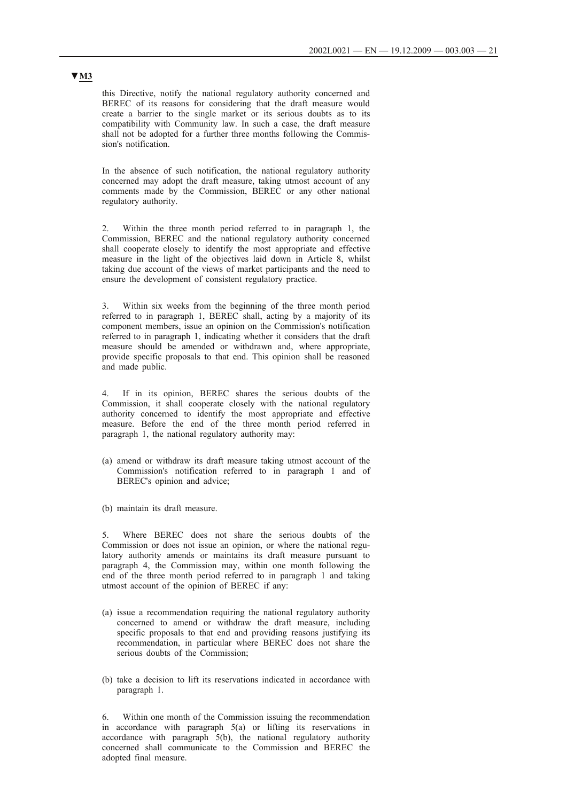this Directive, notify the national regulatory authority concerned and BEREC of its reasons for considering that the draft measure would create a barrier to the single market or its serious doubts as to its compatibility with Community law. In such a case, the draft measure shall not be adopted for a further three months following the Commission's notification.

In the absence of such notification, the national regulatory authority concerned may adopt the draft measure, taking utmost account of any comments made by the Commission, BEREC or any other national regulatory authority.

Within the three month period referred to in paragraph 1, the Commission, BEREC and the national regulatory authority concerned shall cooperate closely to identify the most appropriate and effective measure in the light of the objectives laid down in Article 8, whilst taking due account of the views of market participants and the need to ensure the development of consistent regulatory practice.

3. Within six weeks from the beginning of the three month period referred to in paragraph 1, BEREC shall, acting by a majority of its component members, issue an opinion on the Commission's notification referred to in paragraph 1, indicating whether it considers that the draft measure should be amended or withdrawn and, where appropriate, provide specific proposals to that end. This opinion shall be reasoned and made public.

4. If in its opinion, BEREC shares the serious doubts of the Commission, it shall cooperate closely with the national regulatory authority concerned to identify the most appropriate and effective measure. Before the end of the three month period referred in paragraph 1, the national regulatory authority may:

- (a) amend or withdraw its draft measure taking utmost account of the Commission's notification referred to in paragraph 1 and of BEREC's opinion and advice;
- (b) maintain its draft measure.

5. Where BEREC does not share the serious doubts of the Commission or does not issue an opinion, or where the national regulatory authority amends or maintains its draft measure pursuant to paragraph 4, the Commission may, within one month following the end of the three month period referred to in paragraph 1 and taking utmost account of the opinion of BEREC if any:

- (a) issue a recommendation requiring the national regulatory authority concerned to amend or withdraw the draft measure, including specific proposals to that end and providing reasons justifying its recommendation, in particular where BEREC does not share the serious doubts of the Commission;
- (b) take a decision to lift its reservations indicated in accordance with paragraph 1.

6. Within one month of the Commission issuing the recommendation in accordance with paragraph 5(a) or lifting its reservations in accordance with paragraph 5(b), the national regulatory authority concerned shall communicate to the Commission and BEREC the adopted final measure.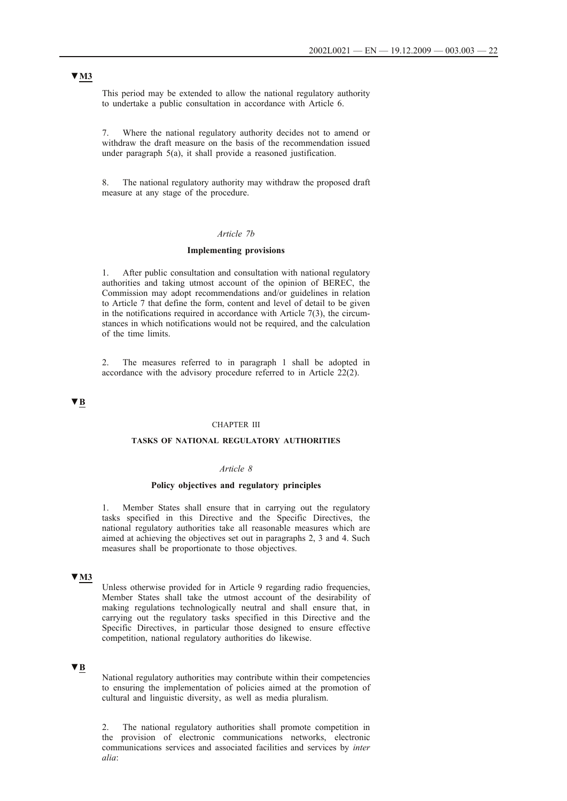This period may be extended to allow the national regulatory authority to undertake a public consultation in accordance with Article 6.

7. Where the national regulatory authority decides not to amend or withdraw the draft measure on the basis of the recommendation issued under paragraph 5(a), it shall provide a reasoned justification.

8. The national regulatory authority may withdraw the proposed draft measure at any stage of the procedure.

### *Article 7b*

#### **Implementing provisions**

1. After public consultation and consultation with national regulatory authorities and taking utmost account of the opinion of BEREC, the Commission may adopt recommendations and/or guidelines in relation to Article 7 that define the form, content and level of detail to be given in the notifications required in accordance with Article  $7(3)$ , the circumstances in which notifications would not be required, and the calculation of the time limits.

2. The measures referred to in paragraph 1 shall be adopted in accordance with the advisory procedure referred to in Article 22(2).

### **▼B**

### CHAPTER III

### **TASKS OF NATIONAL REGULATORY AUTHORITIES**

### *Article 8*

#### **Policy objectives and regulatory principles**

1. Member States shall ensure that in carrying out the regulatory tasks specified in this Directive and the Specific Directives, the national regulatory authorities take all reasonable measures which are aimed at achieving the objectives set out in paragraphs 2, 3 and 4. Such measures shall be proportionate to those objectives.

### **▼M3**

Unless otherwise provided for in Article 9 regarding radio frequencies, Member States shall take the utmost account of the desirability of making regulations technologically neutral and shall ensure that, in carrying out the regulatory tasks specified in this Directive and the Specific Directives, in particular those designed to ensure effective competition, national regulatory authorities do likewise.

### **▼B**

National regulatory authorities may contribute within their competencies to ensuring the implementation of policies aimed at the promotion of cultural and linguistic diversity, as well as media pluralism.

2. The national regulatory authorities shall promote competition in the provision of electronic communications networks, electronic communications services and associated facilities and services by *inter alia*: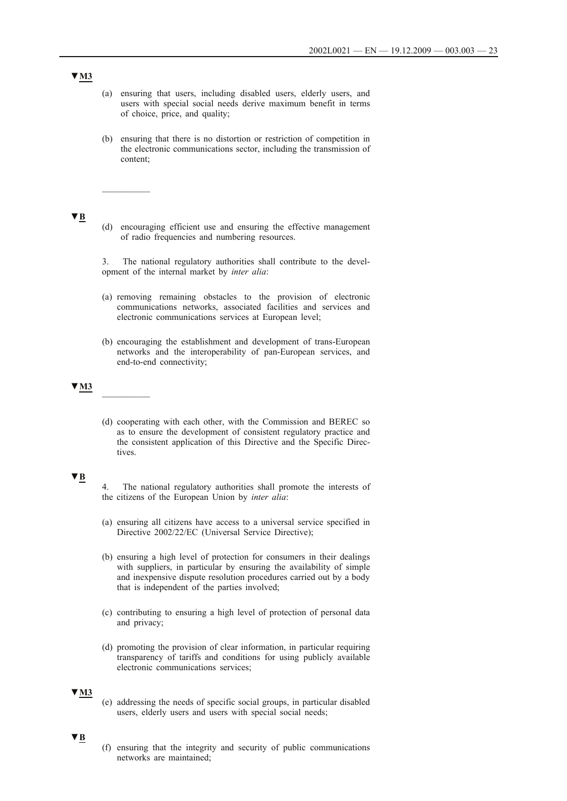- (a) ensuring that users, including disabled users, elderly users, and users with special social needs derive maximum benefit in terms of choice, price, and quality;
- (b) ensuring that there is no distortion or restriction of competition in the electronic communications sector, including the transmission of content;

### **▼B**

 $\frac{1}{2}$ 

(d) encouraging efficient use and ensuring the effective management of radio frequencies and numbering resources.

3. The national regulatory authorities shall contribute to the development of the internal market by *inter alia*:

- (a) removing remaining obstacles to the provision of electronic communications networks, associated facilities and services and electronic communications services at European level;
- (b) encouraging the establishment and development of trans-European networks and the interoperability of pan-European services, and end-to-end connectivity;

### **▼M3** \_\_\_\_\_\_\_\_\_\_

(d) cooperating with each other, with the Commission and BEREC so as to ensure the development of consistent regulatory practice and the consistent application of this Directive and the Specific Directives.

# **▼B**

- 4. The national regulatory authorities shall promote the interests of the citizens of the European Union by *inter alia*:
- (a) ensuring all citizens have access to a universal service specified in Directive 2002/22/EC (Universal Service Directive);
- (b) ensuring a high level of protection for consumers in their dealings with suppliers, in particular by ensuring the availability of simple and inexpensive dispute resolution procedures carried out by a body that is independent of the parties involved;
- (c) contributing to ensuring a high level of protection of personal data and privacy;
- (d) promoting the provision of clear information, in particular requiring transparency of tariffs and conditions for using publicly available electronic communications services;

### **▼M3**

(e) addressing the needs of specific social groups, in particular disabled users, elderly users and users with special social needs;

### **▼B**

(f) ensuring that the integrity and security of public communications networks are maintained;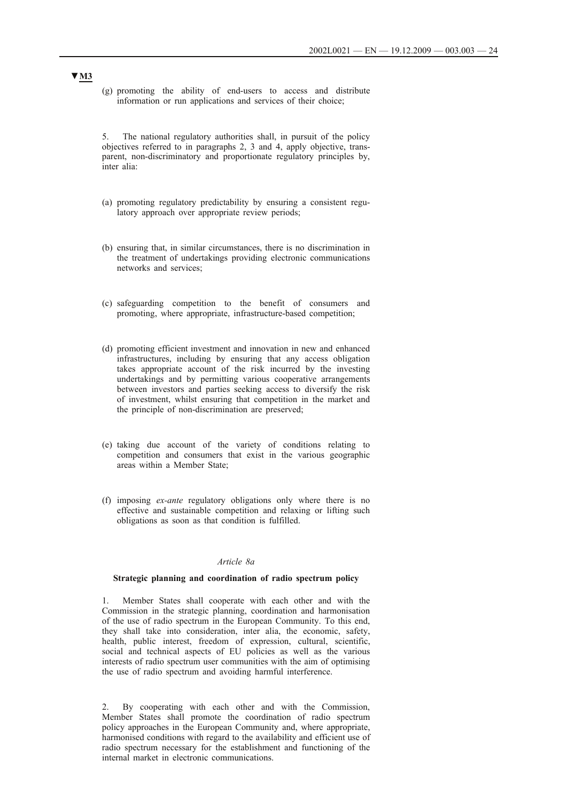(g) promoting the ability of end-users to access and distribute information or run applications and services of their choice;

5. The national regulatory authorities shall, in pursuit of the policy objectives referred to in paragraphs 2, 3 and 4, apply objective, transparent, non-discriminatory and proportionate regulatory principles by, inter alia:

- (a) promoting regulatory predictability by ensuring a consistent regulatory approach over appropriate review periods;
- (b) ensuring that, in similar circumstances, there is no discrimination in the treatment of undertakings providing electronic communications networks and services;
- (c) safeguarding competition to the benefit of consumers and promoting, where appropriate, infrastructure-based competition;
- (d) promoting efficient investment and innovation in new and enhanced infrastructures, including by ensuring that any access obligation takes appropriate account of the risk incurred by the investing undertakings and by permitting various cooperative arrangements between investors and parties seeking access to diversify the risk of investment, whilst ensuring that competition in the market and the principle of non-discrimination are preserved;
- (e) taking due account of the variety of conditions relating to competition and consumers that exist in the various geographic areas within a Member State;
- (f) imposing *ex-ante* regulatory obligations only where there is no effective and sustainable competition and relaxing or lifting such obligations as soon as that condition is fulfilled.

### *Article 8a*

### **Strategic planning and coordination of radio spectrum policy**

1. Member States shall cooperate with each other and with the Commission in the strategic planning, coordination and harmonisation of the use of radio spectrum in the European Community. To this end, they shall take into consideration, inter alia, the economic, safety, health, public interest, freedom of expression, cultural, scientific, social and technical aspects of EU policies as well as the various interests of radio spectrum user communities with the aim of optimising the use of radio spectrum and avoiding harmful interference.

2. By cooperating with each other and with the Commission, Member States shall promote the coordination of radio spectrum policy approaches in the European Community and, where appropriate, harmonised conditions with regard to the availability and efficient use of radio spectrum necessary for the establishment and functioning of the internal market in electronic communications.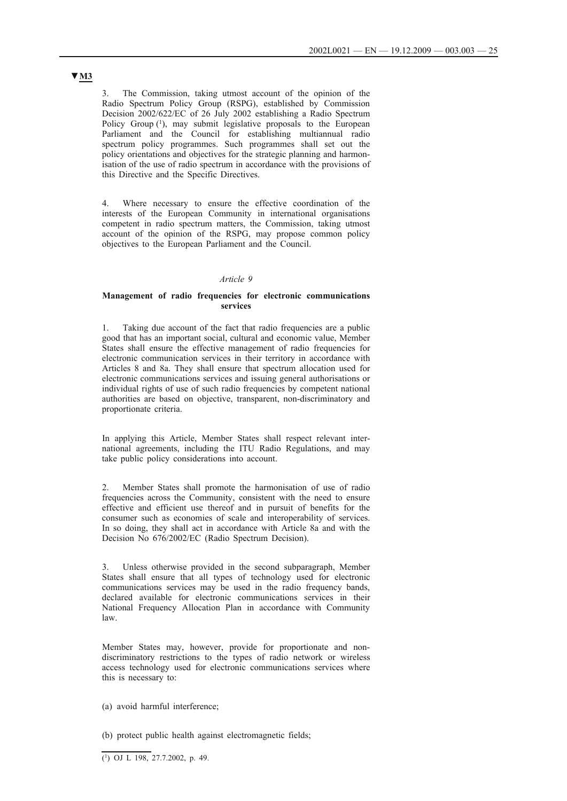The Commission, taking utmost account of the opinion of the Radio Spectrum Policy Group (RSPG), established by Commission Decision 2002/622/EC of 26 July 2002 establishing a Radio Spectrum Policy Group (1), may submit legislative proposals to the European Parliament and the Council for establishing multiannual radio spectrum policy programmes. Such programmes shall set out the policy orientations and objectives for the strategic planning and harmonisation of the use of radio spectrum in accordance with the provisions of this Directive and the Specific Directives.

4. Where necessary to ensure the effective coordination of the interests of the European Community in international organisations competent in radio spectrum matters, the Commission, taking utmost account of the opinion of the RSPG, may propose common policy objectives to the European Parliament and the Council.

### *Article 9*

### **Management of radio frequencies for electronic communications services**

1. Taking due account of the fact that radio frequencies are a public good that has an important social, cultural and economic value, Member States shall ensure the effective management of radio frequencies for electronic communication services in their territory in accordance with Articles 8 and 8a. They shall ensure that spectrum allocation used for electronic communications services and issuing general authorisations or individual rights of use of such radio frequencies by competent national authorities are based on objective, transparent, non-discriminatory and proportionate criteria.

In applying this Article, Member States shall respect relevant international agreements, including the ITU Radio Regulations, and may take public policy considerations into account.

2. Member States shall promote the harmonisation of use of radio frequencies across the Community, consistent with the need to ensure effective and efficient use thereof and in pursuit of benefits for the consumer such as economies of scale and interoperability of services. In so doing, they shall act in accordance with Article 8a and with the Decision No 676/2002/EC (Radio Spectrum Decision).

3. Unless otherwise provided in the second subparagraph, Member States shall ensure that all types of technology used for electronic communications services may be used in the radio frequency bands, declared available for electronic communications services in their National Frequency Allocation Plan in accordance with Community law.

Member States may, however, provide for proportionate and nondiscriminatory restrictions to the types of radio network or wireless access technology used for electronic communications services where this is necessary to:

(a) avoid harmful interference;

(b) protect public health against electromagnetic fields;

 $\overline{(^1)}$  OJ L 198, 27.7.2002, p. 49.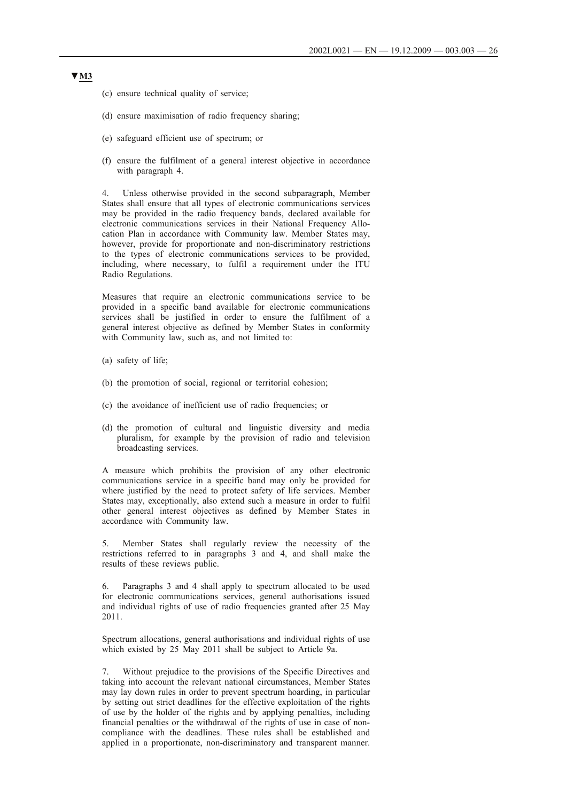- (c) ensure technical quality of service;
- (d) ensure maximisation of radio frequency sharing;
- (e) safeguard efficient use of spectrum; or
- (f) ensure the fulfilment of a general interest objective in accordance with paragraph 4.

4. Unless otherwise provided in the second subparagraph, Member States shall ensure that all types of electronic communications services may be provided in the radio frequency bands, declared available for electronic communications services in their National Frequency Allocation Plan in accordance with Community law. Member States may, however, provide for proportionate and non-discriminatory restrictions to the types of electronic communications services to be provided, including, where necessary, to fulfil a requirement under the ITU Radio Regulations.

Measures that require an electronic communications service to be provided in a specific band available for electronic communications services shall be justified in order to ensure the fulfilment of a general interest objective as defined by Member States in conformity with Community law, such as, and not limited to:

- (a) safety of life;
- (b) the promotion of social, regional or territorial cohesion;
- (c) the avoidance of inefficient use of radio frequencies; or
- (d) the promotion of cultural and linguistic diversity and media pluralism, for example by the provision of radio and television broadcasting services.

A measure which prohibits the provision of any other electronic communications service in a specific band may only be provided for where justified by the need to protect safety of life services. Member States may, exceptionally, also extend such a measure in order to fulfil other general interest objectives as defined by Member States in accordance with Community law.

5. Member States shall regularly review the necessity of the restrictions referred to in paragraphs 3 and 4, and shall make the results of these reviews public.

6. Paragraphs 3 and 4 shall apply to spectrum allocated to be used for electronic communications services, general authorisations issued and individual rights of use of radio frequencies granted after 25 May 2011.

Spectrum allocations, general authorisations and individual rights of use which existed by 25 May 2011 shall be subject to Article 9a.

7. Without prejudice to the provisions of the Specific Directives and taking into account the relevant national circumstances, Member States may lay down rules in order to prevent spectrum hoarding, in particular by setting out strict deadlines for the effective exploitation of the rights of use by the holder of the rights and by applying penalties, including financial penalties or the withdrawal of the rights of use in case of noncompliance with the deadlines. These rules shall be established and applied in a proportionate, non-discriminatory and transparent manner.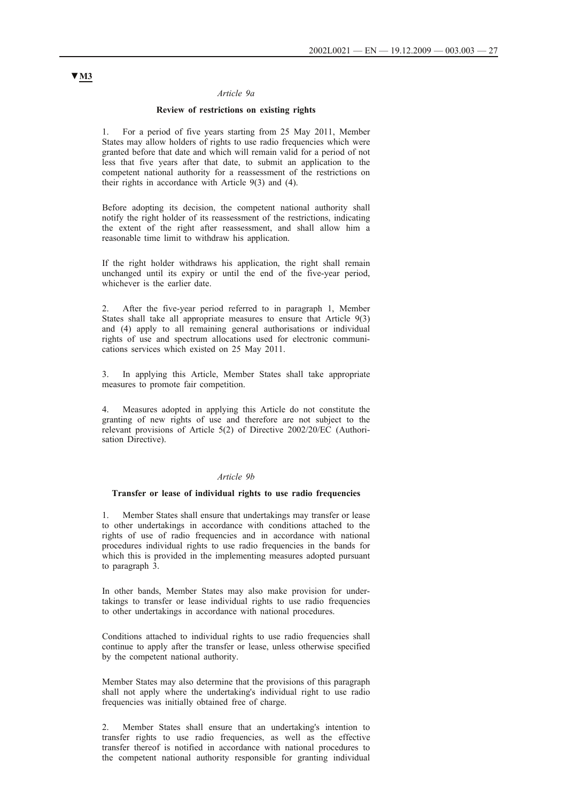### *Article 9a*

### **Review of restrictions on existing rights**

1. For a period of five years starting from 25 May 2011, Member States may allow holders of rights to use radio frequencies which were granted before that date and which will remain valid for a period of not less that five years after that date, to submit an application to the competent national authority for a reassessment of the restrictions on their rights in accordance with Article 9(3) and (4).

Before adopting its decision, the competent national authority shall notify the right holder of its reassessment of the restrictions, indicating the extent of the right after reassessment, and shall allow him a reasonable time limit to withdraw his application.

If the right holder withdraws his application, the right shall remain unchanged until its expiry or until the end of the five-year period, whichever is the earlier date.

2. After the five-year period referred to in paragraph 1, Member States shall take all appropriate measures to ensure that Article 9(3) and (4) apply to all remaining general authorisations or individual rights of use and spectrum allocations used for electronic communications services which existed on 25 May 2011.

3. In applying this Article, Member States shall take appropriate measures to promote fair competition.

4. Measures adopted in applying this Article do not constitute the granting of new rights of use and therefore are not subject to the relevant provisions of Article 5(2) of Directive 2002/20/EC (Authorisation Directive).

#### *Article 9b*

### **Transfer or lease of individual rights to use radio frequencies**

1. Member States shall ensure that undertakings may transfer or lease to other undertakings in accordance with conditions attached to the rights of use of radio frequencies and in accordance with national procedures individual rights to use radio frequencies in the bands for which this is provided in the implementing measures adopted pursuant to paragraph 3.

In other bands, Member States may also make provision for undertakings to transfer or lease individual rights to use radio frequencies to other undertakings in accordance with national procedures.

Conditions attached to individual rights to use radio frequencies shall continue to apply after the transfer or lease, unless otherwise specified by the competent national authority.

Member States may also determine that the provisions of this paragraph shall not apply where the undertaking's individual right to use radio frequencies was initially obtained free of charge.

2. Member States shall ensure that an undertaking's intention to transfer rights to use radio frequencies, as well as the effective transfer thereof is notified in accordance with national procedures to the competent national authority responsible for granting individual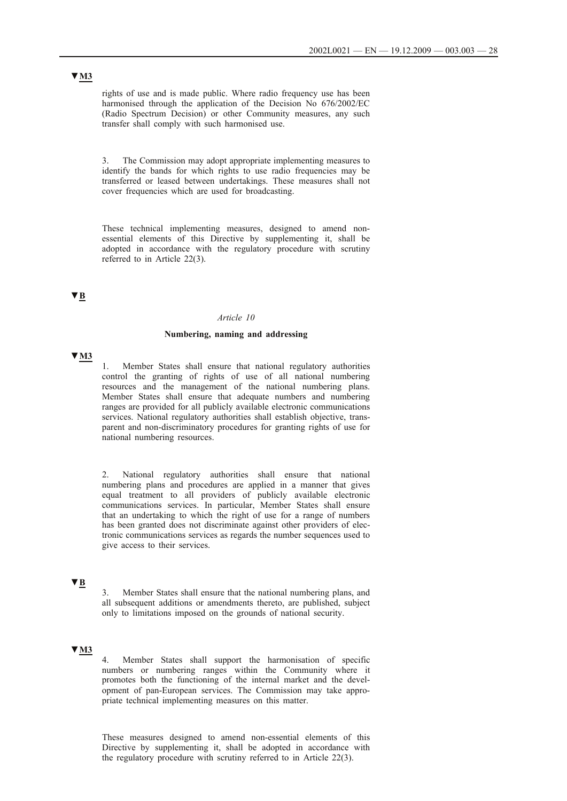rights of use and is made public. Where radio frequency use has been harmonised through the application of the Decision No 676/2002/EC (Radio Spectrum Decision) or other Community measures, any such transfer shall comply with such harmonised use.

3. The Commission may adopt appropriate implementing measures to identify the bands for which rights to use radio frequencies may be transferred or leased between undertakings. These measures shall not cover frequencies which are used for broadcasting.

These technical implementing measures, designed to amend nonessential elements of this Directive by supplementing it, shall be adopted in accordance with the regulatory procedure with scrutiny referred to in Article 22(3).

# **▼B**

### *Article 10*

### **Numbering, naming and addressing**

**▼M3**

1. Member States shall ensure that national regulatory authorities control the granting of rights of use of all national numbering resources and the management of the national numbering plans. Member States shall ensure that adequate numbers and numbering ranges are provided for all publicly available electronic communications services. National regulatory authorities shall establish objective, transparent and non-discriminatory procedures for granting rights of use for national numbering resources.

2. National regulatory authorities shall ensure that national numbering plans and procedures are applied in a manner that gives equal treatment to all providers of publicly available electronic communications services. In particular, Member States shall ensure that an undertaking to which the right of use for a range of numbers has been granted does not discriminate against other providers of electronic communications services as regards the number sequences used to give access to their services.

# **▼B**

Member States shall ensure that the national numbering plans, and all subsequent additions or amendments thereto, are published, subject only to limitations imposed on the grounds of national security.

# **▼M3**

4. Member States shall support the harmonisation of specific numbers or numbering ranges within the Community where it promotes both the functioning of the internal market and the development of pan-European services. The Commission may take appropriate technical implementing measures on this matter.

These measures designed to amend non-essential elements of this Directive by supplementing it, shall be adopted in accordance with the regulatory procedure with scrutiny referred to in Article 22(3).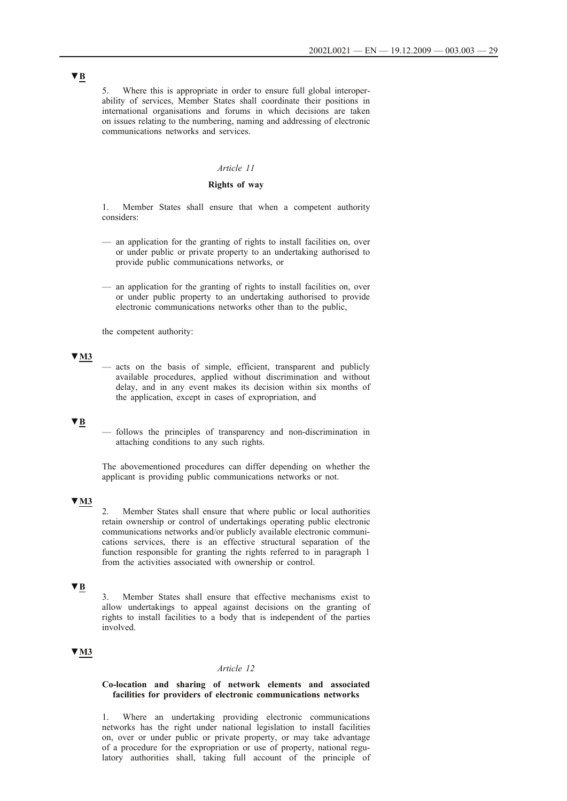5. Where this is appropriate in order to ensure full global interoperability of services, Member States shall coordinate their positions in international organisations and forums in which decisions are taken on issues relating to the numbering, naming and addressing of electronic communications networks and services.

#### *Article 11*

# **Rights of way**

1. Member States shall ensure that when a competent authority considers:

- an application for the granting of rights to install facilities on, over or under public or private property to an undertaking authorised to provide public communications networks, or
- an application for the granting of rights to install facilities on, over or under public property to an undertaking authorised to provide electronic communications networks other than to the public,

the competent authority:

### **▼M3**

— acts on the basis of simple, efficient, transparent and publicly available procedures, applied without discrimination and without delay, and in any event makes its decision within six months of the application, except in cases of expropriation, and

### **▼B**

— follows the principles of transparency and non-discrimination in attaching conditions to any such rights.

The abovementioned procedures can differ depending on whether the applicant is providing public communications networks or not.

### **▼M3**

2. Member States shall ensure that where public or local authorities retain ownership or control of undertakings operating public electronic communications networks and/or publicly available electronic communications services, there is an effective structural separation of the function responsible for granting the rights referred to in paragraph 1 from the activities associated with ownership or control.

# **▼B**

3. Member States shall ensure that effective mechanisms exist to allow undertakings to appeal against decisions on the granting of rights to install facilities to a body that is independent of the parties involved.

# **▼M3**

#### *Article 12*

#### **Co-location and sharing of network elements and associated facilities for providers of electronic communications networks**

1. Where an undertaking providing electronic communications networks has the right under national legislation to install facilities on, over or under public or private property, or may take advantage of a procedure for the expropriation or use of property, national regulatory authorities shall, taking full account of the principle of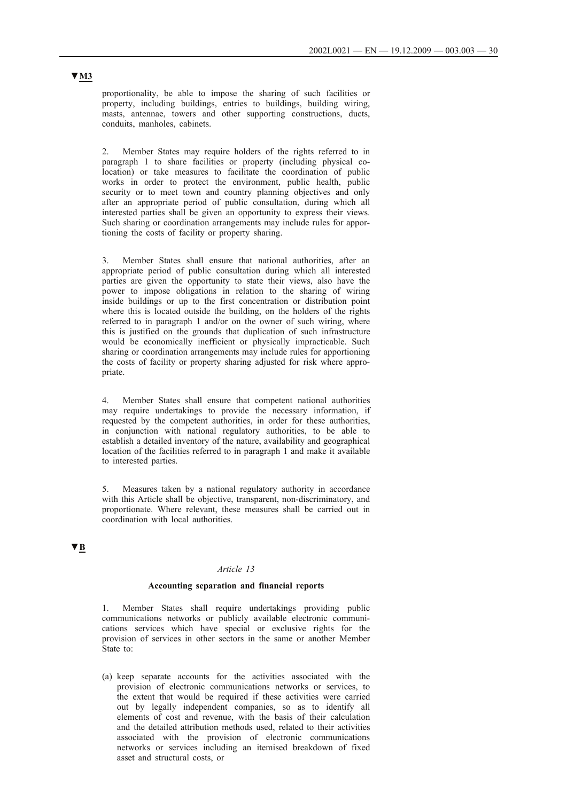proportionality, be able to impose the sharing of such facilities or property, including buildings, entries to buildings, building wiring, masts, antennae, towers and other supporting constructions, ducts, conduits, manholes, cabinets.

2. Member States may require holders of the rights referred to in paragraph 1 to share facilities or property (including physical colocation) or take measures to facilitate the coordination of public works in order to protect the environment, public health, public security or to meet town and country planning objectives and only after an appropriate period of public consultation, during which all interested parties shall be given an opportunity to express their views. Such sharing or coordination arrangements may include rules for apportioning the costs of facility or property sharing.

3. Member States shall ensure that national authorities, after an appropriate period of public consultation during which all interested parties are given the opportunity to state their views, also have the power to impose obligations in relation to the sharing of wiring inside buildings or up to the first concentration or distribution point where this is located outside the building, on the holders of the rights referred to in paragraph 1 and/or on the owner of such wiring, where this is justified on the grounds that duplication of such infrastructure would be economically inefficient or physically impracticable. Such sharing or coordination arrangements may include rules for apportioning the costs of facility or property sharing adjusted for risk where appropriate.

4. Member States shall ensure that competent national authorities may require undertakings to provide the necessary information, if requested by the competent authorities, in order for these authorities, in conjunction with national regulatory authorities, to be able to establish a detailed inventory of the nature, availability and geographical location of the facilities referred to in paragraph 1 and make it available to interested parties.

5. Measures taken by a national regulatory authority in accordance with this Article shall be objective, transparent, non-discriminatory, and proportionate. Where relevant, these measures shall be carried out in coordination with local authorities.

# **▼B**

#### *Article 13*

### **Accounting separation and financial reports**

Member States shall require undertakings providing public communications networks or publicly available electronic communications services which have special or exclusive rights for the provision of services in other sectors in the same or another Member State to:

(a) keep separate accounts for the activities associated with the provision of electronic communications networks or services, to the extent that would be required if these activities were carried out by legally independent companies, so as to identify all elements of cost and revenue, with the basis of their calculation and the detailed attribution methods used, related to their activities associated with the provision of electronic communications networks or services including an itemised breakdown of fixed asset and structural costs, or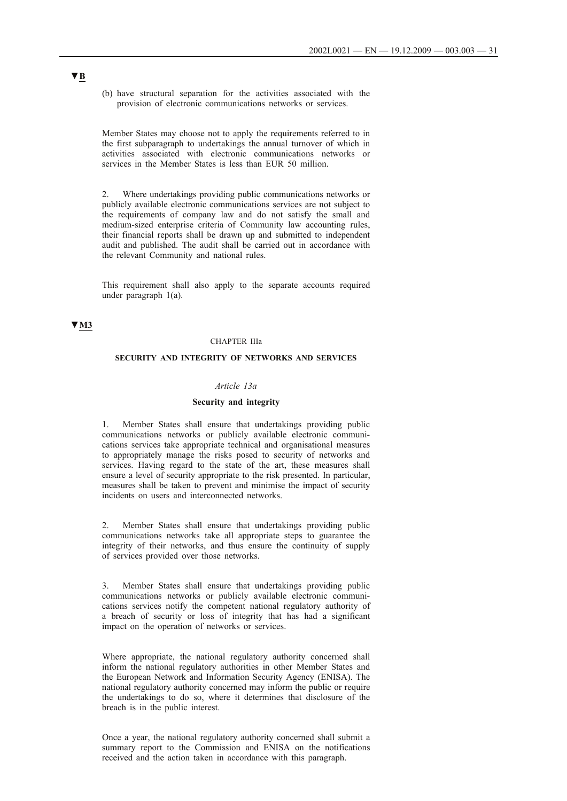(b) have structural separation for the activities associated with the provision of electronic communications networks or services.

Member States may choose not to apply the requirements referred to in the first subparagraph to undertakings the annual turnover of which in activities associated with electronic communications networks or services in the Member States is less than EUR 50 million.

2. Where undertakings providing public communications networks or publicly available electronic communications services are not subject to the requirements of company law and do not satisfy the small and medium-sized enterprise criteria of Community law accounting rules, their financial reports shall be drawn up and submitted to independent audit and published. The audit shall be carried out in accordance with the relevant Community and national rules.

This requirement shall also apply to the separate accounts required under paragraph 1(a).

### **▼M3**

### CHAPTER IIIa

### **SECURITY AND INTEGRITY OF NETWORKS AND SERVICES**

### *Article 13a*

### **Security and integrity**

1. Member States shall ensure that undertakings providing public communications networks or publicly available electronic communications services take appropriate technical and organisational measures to appropriately manage the risks posed to security of networks and services. Having regard to the state of the art, these measures shall ensure a level of security appropriate to the risk presented. In particular, measures shall be taken to prevent and minimise the impact of security incidents on users and interconnected networks.

2. Member States shall ensure that undertakings providing public communications networks take all appropriate steps to guarantee the integrity of their networks, and thus ensure the continuity of supply of services provided over those networks.

3. Member States shall ensure that undertakings providing public communications networks or publicly available electronic communications services notify the competent national regulatory authority of a breach of security or loss of integrity that has had a significant impact on the operation of networks or services.

Where appropriate, the national regulatory authority concerned shall inform the national regulatory authorities in other Member States and the European Network and Information Security Agency (ENISA). The national regulatory authority concerned may inform the public or require the undertakings to do so, where it determines that disclosure of the breach is in the public interest.

Once a year, the national regulatory authority concerned shall submit a summary report to the Commission and ENISA on the notifications received and the action taken in accordance with this paragraph.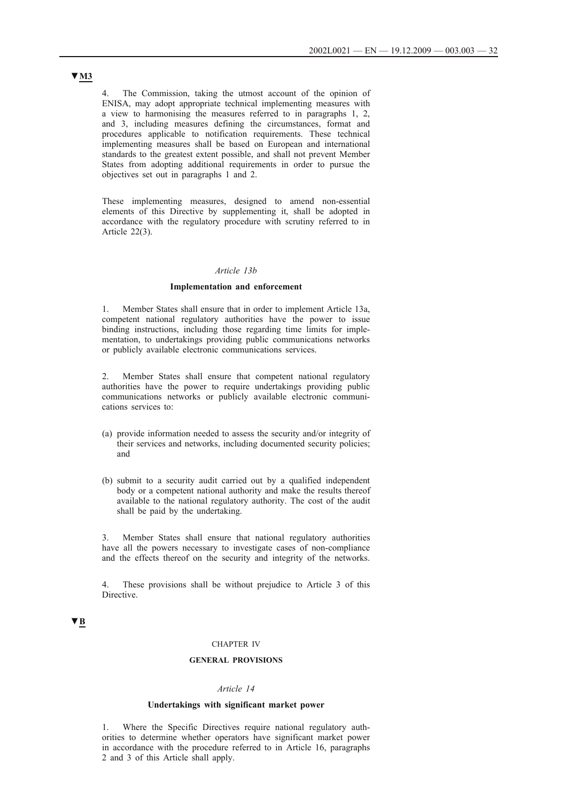The Commission, taking the utmost account of the opinion of ENISA, may adopt appropriate technical implementing measures with a view to harmonising the measures referred to in paragraphs 1, 2, and 3, including measures defining the circumstances, format and procedures applicable to notification requirements. These technical implementing measures shall be based on European and international standards to the greatest extent possible, and shall not prevent Member States from adopting additional requirements in order to pursue the objectives set out in paragraphs 1 and 2.

These implementing measures, designed to amend non-essential elements of this Directive by supplementing it, shall be adopted in accordance with the regulatory procedure with scrutiny referred to in Article 22(3).

### *Article 13b*

### **Implementation and enforcement**

1. Member States shall ensure that in order to implement Article 13a, competent national regulatory authorities have the power to issue binding instructions, including those regarding time limits for implementation, to undertakings providing public communications networks or publicly available electronic communications services.

2. Member States shall ensure that competent national regulatory authorities have the power to require undertakings providing public communications networks or publicly available electronic communications services to:

- (a) provide information needed to assess the security and/or integrity of their services and networks, including documented security policies; and
- (b) submit to a security audit carried out by a qualified independent body or a competent national authority and make the results thereof available to the national regulatory authority. The cost of the audit shall be paid by the undertaking.

3. Member States shall ensure that national regulatory authorities have all the powers necessary to investigate cases of non-compliance and the effects thereof on the security and integrity of the networks.

4. These provisions shall be without prejudice to Article 3 of this Directive.

# **▼B**

### CHAPTER IV

### **GENERAL PROVISIONS**

### *Article 14*

### **Undertakings with significant market power**

1. Where the Specific Directives require national regulatory authorities to determine whether operators have significant market power in accordance with the procedure referred to in Article 16, paragraphs 2 and 3 of this Article shall apply.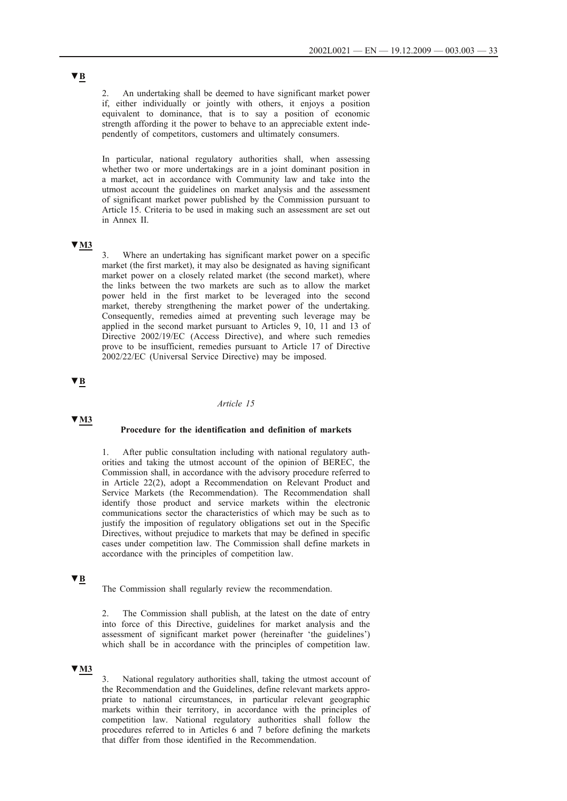2. An undertaking shall be deemed to have significant market power if, either individually or jointly with others, it enjoys a position equivalent to dominance, that is to say a position of economic strength affording it the power to behave to an appreciable extent independently of competitors, customers and ultimately consumers.

In particular, national regulatory authorities shall, when assessing whether two or more undertakings are in a joint dominant position in a market, act in accordance with Community law and take into the utmost account the guidelines on market analysis and the assessment of significant market power published by the Commission pursuant to Article 15. Criteria to be used in making such an assessment are set out in Annex II.

### **▼M3**

3. Where an undertaking has significant market power on a specific market (the first market), it may also be designated as having significant market power on a closely related market (the second market), where the links between the two markets are such as to allow the market power held in the first market to be leveraged into the second market, thereby strengthening the market power of the undertaking. Consequently, remedies aimed at preventing such leverage may be applied in the second market pursuant to Articles 9, 10, 11 and 13 of Directive 2002/19/EC (Access Directive), and where such remedies prove to be insufficient, remedies pursuant to Article 17 of Directive 2002/22/EC (Universal Service Directive) may be imposed.

# **▼B**

### *Article 15*

# **▼M3**

### **Procedure for the identification and definition of markets**

1. After public consultation including with national regulatory authorities and taking the utmost account of the opinion of BEREC, the Commission shall, in accordance with the advisory procedure referred to in Article 22(2), adopt a Recommendation on Relevant Product and Service Markets (the Recommendation). The Recommendation shall identify those product and service markets within the electronic communications sector the characteristics of which may be such as to justify the imposition of regulatory obligations set out in the Specific Directives, without prejudice to markets that may be defined in specific cases under competition law. The Commission shall define markets in accordance with the principles of competition law.

### **▼B**

The Commission shall regularly review the recommendation.

2. The Commission shall publish, at the latest on the date of entry into force of this Directive, guidelines for market analysis and the assessment of significant market power (hereinafter 'the guidelines') which shall be in accordance with the principles of competition law.

# **▼M3**

3. National regulatory authorities shall, taking the utmost account of the Recommendation and the Guidelines, define relevant markets appropriate to national circumstances, in particular relevant geographic markets within their territory, in accordance with the principles of competition law. National regulatory authorities shall follow the procedures referred to in Articles 6 and 7 before defining the markets that differ from those identified in the Recommendation.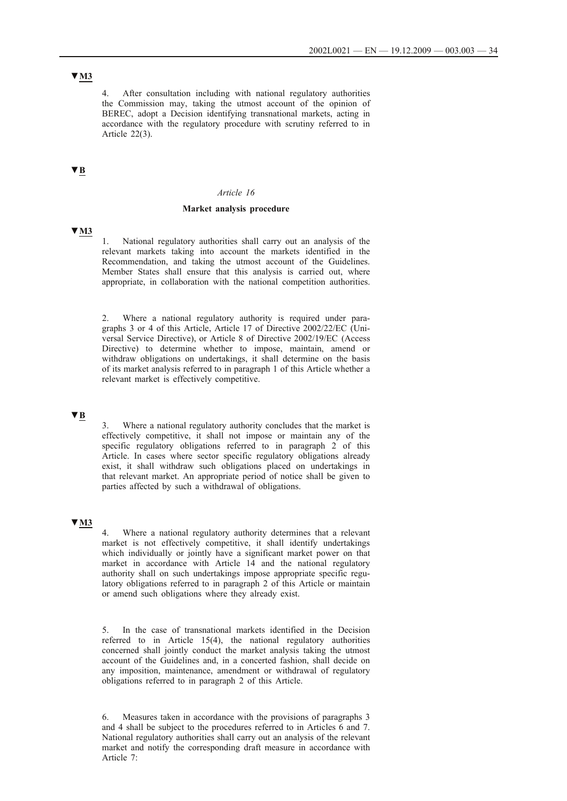**▼M3**

4. After consultation including with national regulatory authorities the Commission may, taking the utmost account of the opinion of BEREC, adopt a Decision identifying transnational markets, acting in accordance with the regulatory procedure with scrutiny referred to in Article 22(3).

# **▼B**

### *Article 16*

### **Market analysis procedure**

**▼M3**

1. National regulatory authorities shall carry out an analysis of the relevant markets taking into account the markets identified in the Recommendation, and taking the utmost account of the Guidelines. Member States shall ensure that this analysis is carried out, where appropriate, in collaboration with the national competition authorities.

Where a national regulatory authority is required under paragraphs 3 or 4 of this Article, Article 17 of Directive 2002/22/EC (Universal Service Directive), or Article 8 of Directive 2002/19/EC (Access Directive) to determine whether to impose, maintain, amend or withdraw obligations on undertakings, it shall determine on the basis of its market analysis referred to in paragraph 1 of this Article whether a relevant market is effectively competitive.

# **▼B**

Where a national regulatory authority concludes that the market is effectively competitive, it shall not impose or maintain any of the specific regulatory obligations referred to in paragraph 2 of this Article. In cases where sector specific regulatory obligations already exist, it shall withdraw such obligations placed on undertakings in that relevant market. An appropriate period of notice shall be given to parties affected by such a withdrawal of obligations.

# **▼M3**

Where a national regulatory authority determines that a relevant market is not effectively competitive, it shall identify undertakings which individually or jointly have a significant market power on that market in accordance with Article 14 and the national regulatory authority shall on such undertakings impose appropriate specific regulatory obligations referred to in paragraph 2 of this Article or maintain or amend such obligations where they already exist.

5. In the case of transnational markets identified in the Decision referred to in Article 15(4), the national regulatory authorities concerned shall jointly conduct the market analysis taking the utmost account of the Guidelines and, in a concerted fashion, shall decide on any imposition, maintenance, amendment or withdrawal of regulatory obligations referred to in paragraph 2 of this Article.

6. Measures taken in accordance with the provisions of paragraphs 3 and 4 shall be subject to the procedures referred to in Articles 6 and 7. National regulatory authorities shall carry out an analysis of the relevant market and notify the corresponding draft measure in accordance with Article 7: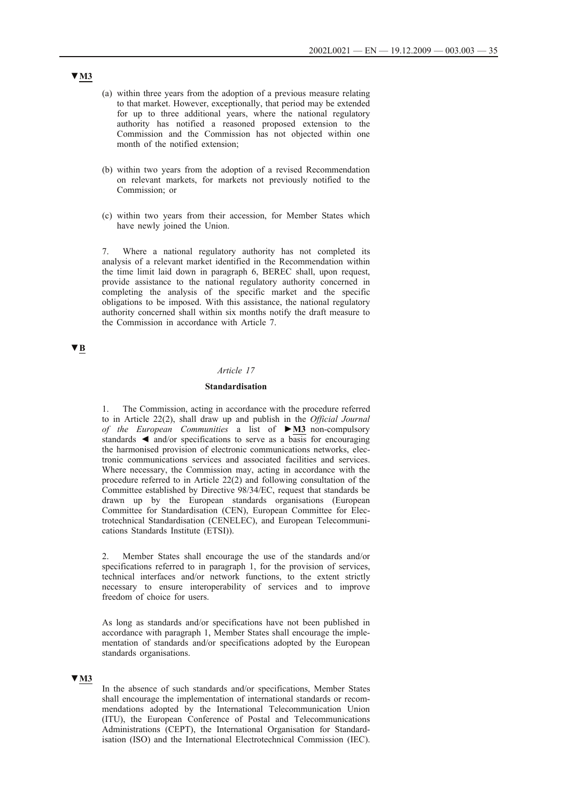- (a) within three years from the adoption of a previous measure relating to that market. However, exceptionally, that period may be extended for up to three additional years, where the national regulatory authority has notified a reasoned proposed extension to the Commission and the Commission has not objected within one month of the notified extension;
- (b) within two years from the adoption of a revised Recommendation on relevant markets, for markets not previously notified to the Commission; or
- (c) within two years from their accession, for Member States which have newly joined the Union.

7. Where a national regulatory authority has not completed its analysis of a relevant market identified in the Recommendation within the time limit laid down in paragraph 6, BEREC shall, upon request, provide assistance to the national regulatory authority concerned in completing the analysis of the specific market and the specific obligations to be imposed. With this assistance, the national regulatory authority concerned shall within six months notify the draft measure to the Commission in accordance with Article 7.

# **▼B**

### *Article 17*

#### **Standardisation**

1. The Commission, acting in accordance with the procedure referred to in Article 22(2), shall draw up and publish in the *Official Journal of the European Communities* a list of **►M3** non-compulsory standards ◄ and/or specifications to serve as a basis for encouraging the harmonised provision of electronic communications networks, electronic communications services and associated facilities and services. Where necessary, the Commission may, acting in accordance with the procedure referred to in Article 22(2) and following consultation of the Committee established by Directive 98/34/EC, request that standards be drawn up by the European standards organisations (European Committee for Standardisation (CEN), European Committee for Electrotechnical Standardisation (CENELEC), and European Telecommunications Standards Institute (ETSI)).

2. Member States shall encourage the use of the standards and/or specifications referred to in paragraph 1, for the provision of services, technical interfaces and/or network functions, to the extent strictly necessary to ensure interoperability of services and to improve freedom of choice for users.

As long as standards and/or specifications have not been published in accordance with paragraph 1, Member States shall encourage the implementation of standards and/or specifications adopted by the European standards organisations.

#### **▼M3**

In the absence of such standards and/or specifications, Member States shall encourage the implementation of international standards or recommendations adopted by the International Telecommunication Union (ITU), the European Conference of Postal and Telecommunications Administrations (CEPT), the International Organisation for Standardisation (ISO) and the International Electrotechnical Commission (IEC).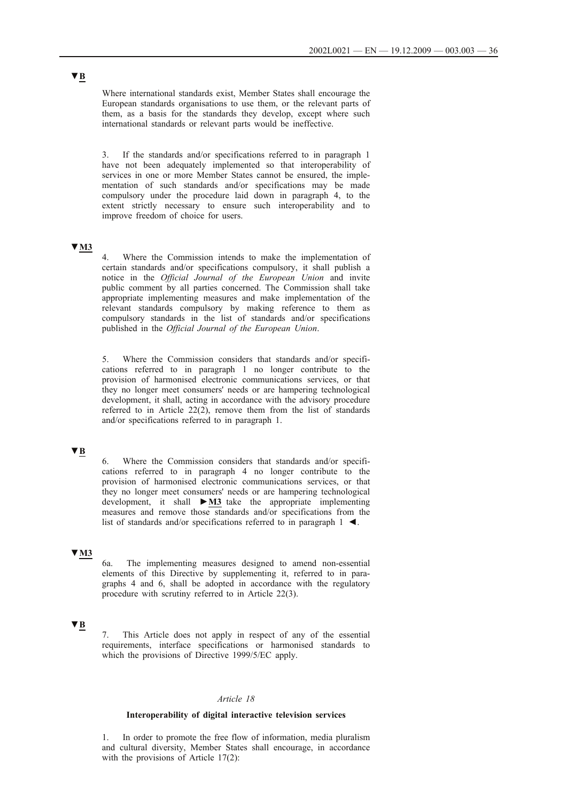Where international standards exist, Member States shall encourage the European standards organisations to use them, or the relevant parts of them, as a basis for the standards they develop, except where such international standards or relevant parts would be ineffective.

3. If the standards and/or specifications referred to in paragraph 1 have not been adequately implemented so that interoperability of services in one or more Member States cannot be ensured, the implementation of such standards and/or specifications may be made compulsory under the procedure laid down in paragraph 4, to the extent strictly necessary to ensure such interoperability and to improve freedom of choice for users.

### **▼M3**

4. Where the Commission intends to make the implementation of certain standards and/or specifications compulsory, it shall publish a notice in the *Official Journal of the European Union* and invite public comment by all parties concerned. The Commission shall take appropriate implementing measures and make implementation of the relevant standards compulsory by making reference to them as compulsory standards in the list of standards and/or specifications published in the *Official Journal of the European Union*.

5. Where the Commission considers that standards and/or specifications referred to in paragraph 1 no longer contribute to the provision of harmonised electronic communications services, or that they no longer meet consumers' needs or are hampering technological development, it shall, acting in accordance with the advisory procedure referred to in Article 22(2), remove them from the list of standards and/or specifications referred to in paragraph 1.

# **▼B**

6. Where the Commission considers that standards and/or specifications referred to in paragraph 4 no longer contribute to the provision of harmonised electronic communications services, or that they no longer meet consumers' needs or are hampering technological development, it shall **►M3** take the appropriate implementing measures and remove those standards and/or specifications from the list of standards and/or specifications referred to in paragraph 1 ◄.

## **▼M3**

6a. The implementing measures designed to amend non-essential elements of this Directive by supplementing it, referred to in paragraphs 4 and 6, shall be adopted in accordance with the regulatory procedure with scrutiny referred to in Article 22(3).

# **▼B**

7. This Article does not apply in respect of any of the essential requirements, interface specifications or harmonised standards to which the provisions of Directive 1999/5/EC apply.

#### *Article 18*

### **Interoperability of digital interactive television services**

1. In order to promote the free flow of information, media pluralism and cultural diversity, Member States shall encourage, in accordance with the provisions of Article 17(2):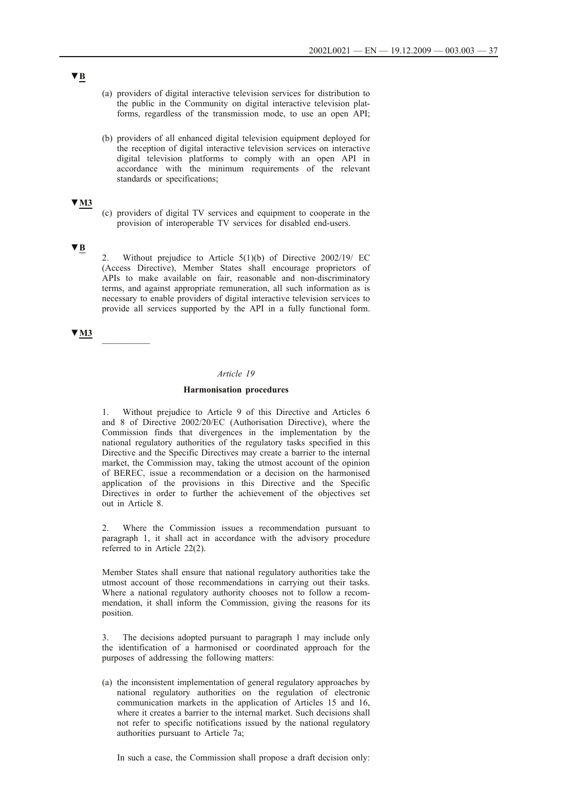- (a) providers of digital interactive television services for distribution to the public in the Community on digital interactive television platforms, regardless of the transmission mode, to use an open API;
- (b) providers of all enhanced digital television equipment deployed for the reception of digital interactive television services on interactive digital television platforms to comply with an open API in accordance with the minimum requirements of the relevant standards or specifications;

### **▼M3**

(c) providers of digital TV services and equipment to cooperate in the provision of interoperable TV services for disabled end-users.

# **▼B**

2. Without prejudice to Article 5(1)(b) of Directive 2002/19/ EC (Access Directive), Member States shall encourage proprietors of APIs to make available on fair, reasonable and non-discriminatory terms, and against appropriate remuneration, all such information as is necessary to enable providers of digital interactive television services to provide all services supported by the API in a fully functional form.

### **▼M3** \_\_\_\_\_\_\_\_\_\_

#### *Article 19*

### **Harmonisation procedures**

1. Without prejudice to Article 9 of this Directive and Articles 6 and 8 of Directive 2002/20/EC (Authorisation Directive), where the Commission finds that divergences in the implementation by the national regulatory authorities of the regulatory tasks specified in this Directive and the Specific Directives may create a barrier to the internal market, the Commission may, taking the utmost account of the opinion of BEREC, issue a recommendation or a decision on the harmonised application of the provisions in this Directive and the Specific Directives in order to further the achievement of the objectives set out in Article 8.

2. Where the Commission issues a recommendation pursuant to paragraph 1, it shall act in accordance with the advisory procedure referred to in Article 22(2).

Member States shall ensure that national regulatory authorities take the utmost account of those recommendations in carrying out their tasks. Where a national regulatory authority chooses not to follow a recommendation, it shall inform the Commission, giving the reasons for its position.

3. The decisions adopted pursuant to paragraph 1 may include only the identification of a harmonised or coordinated approach for the purposes of addressing the following matters:

(a) the inconsistent implementation of general regulatory approaches by national regulatory authorities on the regulation of electronic communication markets in the application of Articles 15 and 16, where it creates a barrier to the internal market. Such decisions shall not refer to specific notifications issued by the national regulatory authorities pursuant to Article 7a;

In such a case, the Commission shall propose a draft decision only: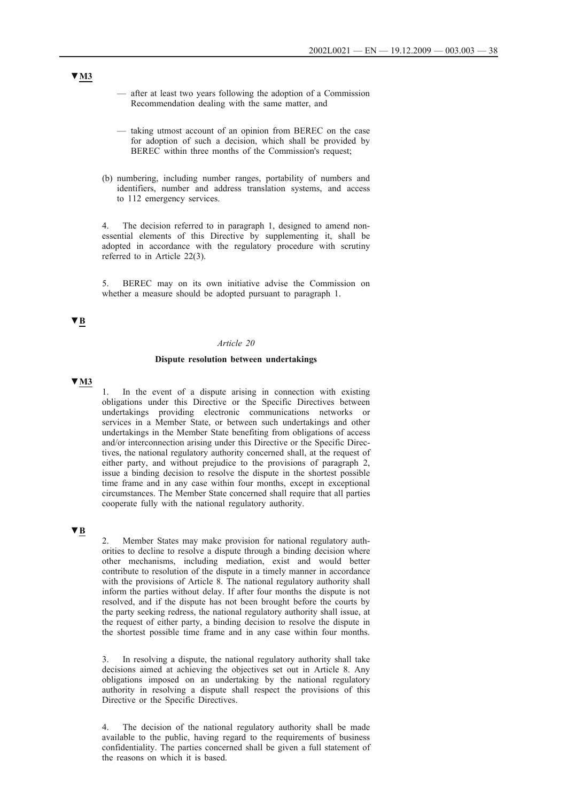- after at least two years following the adoption of a Commission Recommendation dealing with the same matter, and
- taking utmost account of an opinion from BEREC on the case for adoption of such a decision, which shall be provided by BEREC within three months of the Commission's request;
- (b) numbering, including number ranges, portability of numbers and identifiers, number and address translation systems, and access to 112 emergency services.

4. The decision referred to in paragraph 1, designed to amend nonessential elements of this Directive by supplementing it, shall be adopted in accordance with the regulatory procedure with scrutiny referred to in Article 22(3).

5. BEREC may on its own initiative advise the Commission on whether a measure should be adopted pursuant to paragraph 1.

# **▼B**

### *Article 20*

### **Dispute resolution between undertakings**

### **▼M3**

In the event of a dispute arising in connection with existing obligations under this Directive or the Specific Directives between undertakings providing electronic communications networks or services in a Member State, or between such undertakings and other undertakings in the Member State benefiting from obligations of access and/or interconnection arising under this Directive or the Specific Directives, the national regulatory authority concerned shall, at the request of either party, and without prejudice to the provisions of paragraph 2, issue a binding decision to resolve the dispute in the shortest possible time frame and in any case within four months, except in exceptional circumstances. The Member State concerned shall require that all parties cooperate fully with the national regulatory authority.

# **▼B**

2. Member States may make provision for national regulatory authorities to decline to resolve a dispute through a binding decision where other mechanisms, including mediation, exist and would better contribute to resolution of the dispute in a timely manner in accordance with the provisions of Article 8. The national regulatory authority shall inform the parties without delay. If after four months the dispute is not resolved, and if the dispute has not been brought before the courts by the party seeking redress, the national regulatory authority shall issue, at the request of either party, a binding decision to resolve the dispute in the shortest possible time frame and in any case within four months.

3. In resolving a dispute, the national regulatory authority shall take decisions aimed at achieving the objectives set out in Article 8. Any obligations imposed on an undertaking by the national regulatory authority in resolving a dispute shall respect the provisions of this Directive or the Specific Directives.

4. The decision of the national regulatory authority shall be made available to the public, having regard to the requirements of business confidentiality. The parties concerned shall be given a full statement of the reasons on which it is based.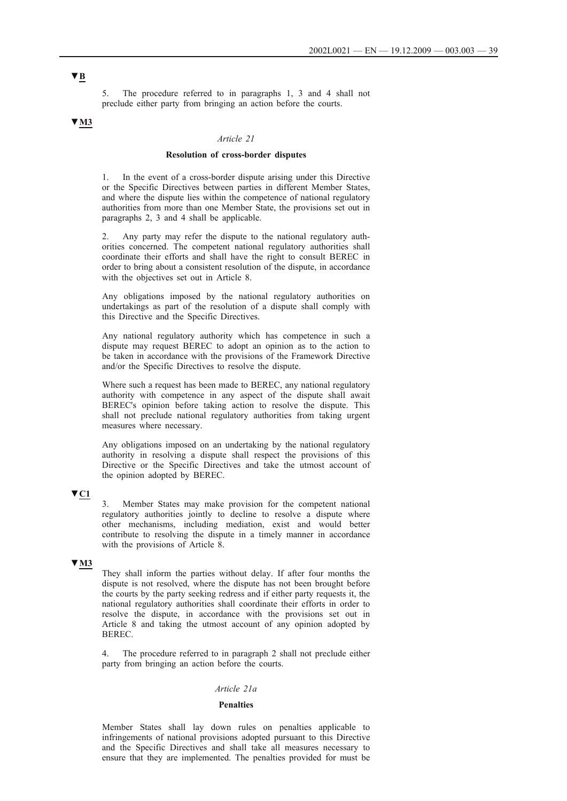5. The procedure referred to in paragraphs 1, 3 and 4 shall not preclude either party from bringing an action before the courts.

### *Article 21*

#### **Resolution of cross-border disputes**

1. In the event of a cross-border dispute arising under this Directive or the Specific Directives between parties in different Member States, and where the dispute lies within the competence of national regulatory authorities from more than one Member State, the provisions set out in paragraphs 2, 3 and 4 shall be applicable.

2. Any party may refer the dispute to the national regulatory authorities concerned. The competent national regulatory authorities shall coordinate their efforts and shall have the right to consult BEREC in order to bring about a consistent resolution of the dispute, in accordance with the objectives set out in Article 8.

Any obligations imposed by the national regulatory authorities on undertakings as part of the resolution of a dispute shall comply with this Directive and the Specific Directives.

Any national regulatory authority which has competence in such a dispute may request BEREC to adopt an opinion as to the action to be taken in accordance with the provisions of the Framework Directive and/or the Specific Directives to resolve the dispute.

Where such a request has been made to BEREC, any national regulatory authority with competence in any aspect of the dispute shall await BEREC's opinion before taking action to resolve the dispute. This shall not preclude national regulatory authorities from taking urgent measures where necessary.

Any obligations imposed on an undertaking by the national regulatory authority in resolving a dispute shall respect the provisions of this Directive or the Specific Directives and take the utmost account of the opinion adopted by BEREC.

### **▼C1**

3. Member States may make provision for the competent national regulatory authorities jointly to decline to resolve a dispute where other mechanisms, including mediation, exist and would better contribute to resolving the dispute in a timely manner in accordance with the provisions of Article 8.

#### **▼M3**

They shall inform the parties without delay. If after four months the dispute is not resolved, where the dispute has not been brought before the courts by the party seeking redress and if either party requests it, the national regulatory authorities shall coordinate their efforts in order to resolve the dispute, in accordance with the provisions set out in Article 8 and taking the utmost account of any opinion adopted by BEREC.

4. The procedure referred to in paragraph 2 shall not preclude either party from bringing an action before the courts.

### *Article 21a*

#### **Penalties**

Member States shall lay down rules on penalties applicable to infringements of national provisions adopted pursuant to this Directive and the Specific Directives and shall take all measures necessary to ensure that they are implemented. The penalties provided for must be

# **▼B**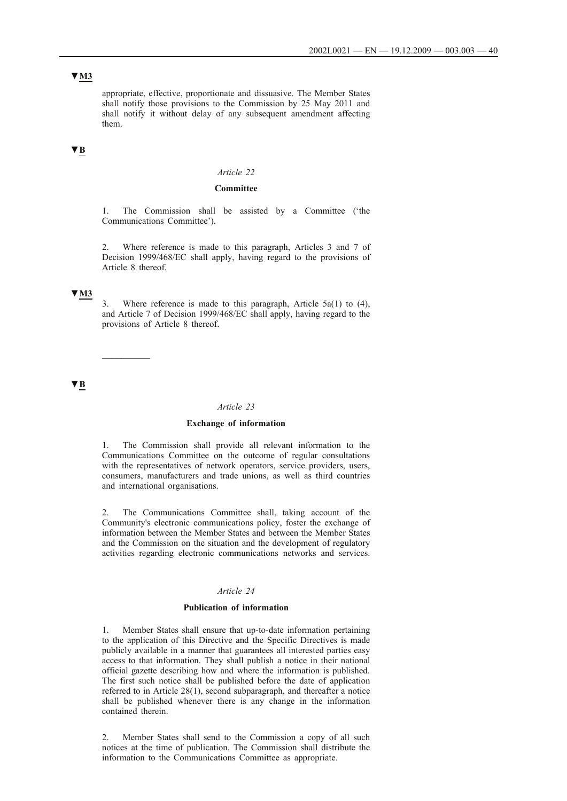# **▼M3**

appropriate, effective, proportionate and dissuasive. The Member States shall notify those provisions to the Commission by 25 May 2011 and shall notify it without delay of any subsequent amendment affecting them.

# **▼B**

### *Article 22*

#### **Committee**

1. The Commission shall be assisted by a Committee ('the Communications Committee').

2. Where reference is made to this paragraph, Articles 3 and 7 of Decision 1999/468/EC shall apply, having regard to the provisions of Article 8 thereof.

#### **▼M3**

3. Where reference is made to this paragraph, Article 5a(1) to (4), and Article 7 of Decision 1999/468/EC shall apply, having regard to the provisions of Article 8 thereof.

**▼B**

 $\frac{1}{2}$ 

### *Article 23*

### **Exchange of information**

The Commission shall provide all relevant information to the Communications Committee on the outcome of regular consultations with the representatives of network operators, service providers, users, consumers, manufacturers and trade unions, as well as third countries and international organisations.

2. The Communications Committee shall, taking account of the Community's electronic communications policy, foster the exchange of information between the Member States and between the Member States and the Commission on the situation and the development of regulatory activities regarding electronic communications networks and services.

# *Article 24*

### **Publication of information**

1. Member States shall ensure that up-to-date information pertaining to the application of this Directive and the Specific Directives is made publicly available in a manner that guarantees all interested parties easy access to that information. They shall publish a notice in their national official gazette describing how and where the information is published. The first such notice shall be published before the date of application referred to in Article 28(1), second subparagraph, and thereafter a notice shall be published whenever there is any change in the information contained therein.

2. Member States shall send to the Commission a copy of all such notices at the time of publication. The Commission shall distribute the information to the Communications Committee as appropriate.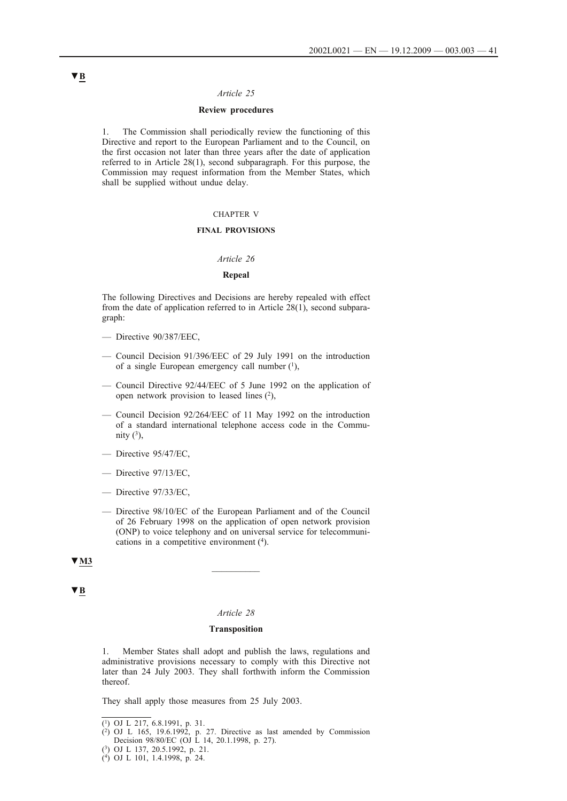### *Article 25*

# **Review procedures**

1. The Commission shall periodically review the functioning of this Directive and report to the European Parliament and to the Council, on the first occasion not later than three years after the date of application referred to in Article 28(1), second subparagraph. For this purpose, the Commission may request information from the Member States, which shall be supplied without undue delay.

### CHAPTER V

### **FINAL PROVISIONS**

#### *Article 26*

#### **Repeal**

The following Directives and Decisions are hereby repealed with effect from the date of application referred to in Article 28(1), second subparagraph:

- Directive 90/387/EEC,
- Council Decision 91/396/EEC of 29 July 1991 on the introduction of a single European emergency call number  $(1)$ ,
- Council Directive 92/44/EEC of 5 June 1992 on the application of open network provision to leased lines (2),
- Council Decision 92/264/EEC of 11 May 1992 on the introduction of a standard international telephone access code in the Community  $(^3)$ ,
- Directive 95/47/EC,
- Directive 97/13/EC,
- Directive 97/33/EC,
- Directive 98/10/EC of the European Parliament and of the Council of 26 February 1998 on the application of open network provision (ONP) to voice telephony and on universal service for telecommunications in a competitive environment (4).

# $\sqrt{M3}$

**▼B**

#### *Article 28*

#### **Transposition**

1. Member States shall adopt and publish the laws, regulations and administrative provisions necessary to comply with this Directive not later than 24 July 2003. They shall forthwith inform the Commission thereof.

They shall apply those measures from 25 July 2003.

<sup>(1)</sup> OJ L 217, 6.8.1991, p. 31.

 $(2)$  OJ L 165, 19.6.1992, p. 27. Directive as last amended by Commission Decision 98/80/EC (OJ L 14, 20.1.1998, p. 27).

<sup>(3)</sup> OJ L 137, 20.5.1992, p. 21.

<sup>(4)</sup> OJ L 101, 1.4.1998, p. 24.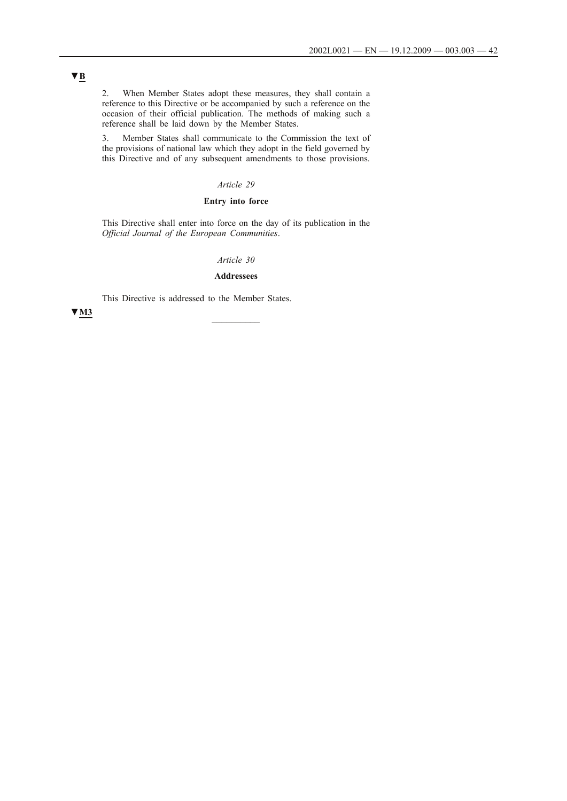2. When Member States adopt these measures, they shall contain a reference to this Directive or be accompanied by such a reference on the occasion of their official publication. The methods of making such a reference shall be laid down by the Member States.

3. Member States shall communicate to the Commission the text of the provisions of national law which they adopt in the field governed by this Directive and of any subsequent amendments to those provisions.

### *Article 29*

# **Entry into force**

This Directive shall enter into force on the day of its publication in the *Official Journal of the European Communities*.

### *Article 30*

### **Addressees**

This Directive is addressed to the Member States.

▼<u>M3</u>